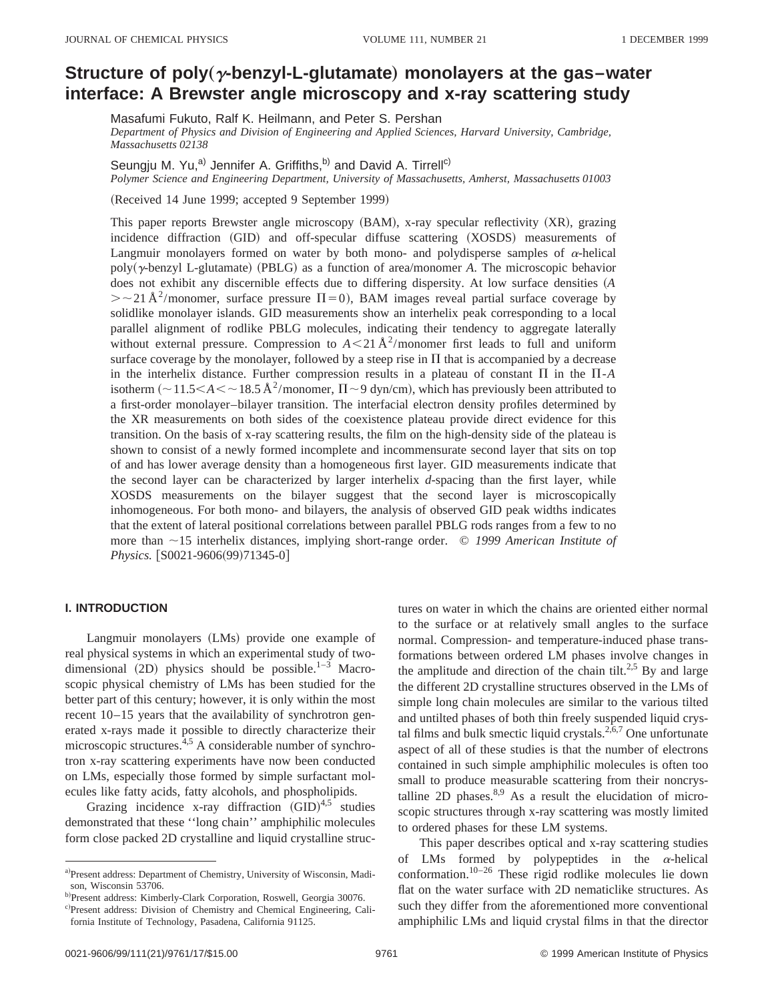# **Structure of poly** (*y*-benzyl-L-glutamate) monolayers at the gas–water **interface: A Brewster angle microscopy and x-ray scattering study**

Masafumi Fukuto, Ralf K. Heilmann, and Peter S. Pershan

*Department of Physics and Division of Engineering and Applied Sciences, Harvard University, Cambridge, Massachusetts 02138*

Seungju M. Yu,<sup>a)</sup> Jennifer A. Griffiths,<sup>b)</sup> and David A. Tirrell<sup>c)</sup>

*Polymer Science and Engineering Department, University of Massachusetts, Amherst, Massachusetts 01003*

(Received 14 June 1999; accepted 9 September 1999)

This paper reports Brewster angle microscopy (BAM), x-ray specular reflectivity (XR), grazing incidence diffraction (GID) and off-specular diffuse scattering (XOSDS) measurements of Langmuir monolayers formed on water by both mono- and polydisperse samples of  $\alpha$ -helical poly( $\gamma$ -benzyl L-glutamate) (PBLG) as a function of area/monomer *A*. The microscopic behavior does not exhibit any discernible effects due to differing dispersity. At low surface densities (A  $\geq$  21 Å<sup>2</sup>/monomer, surface pressure  $\Pi=0$ ), BAM images reveal partial surface coverage by solidlike monolayer islands. GID measurements show an interhelix peak corresponding to a local parallel alignment of rodlike PBLG molecules, indicating their tendency to aggregate laterally without external pressure. Compression to  $A < 21 \text{ Å}^2$ /monomer first leads to full and uniform surface coverage by the monolayer, followed by a steep rise in  $\Pi$  that is accompanied by a decrease in the interhelix distance. Further compression results in a plateau of constant  $\Pi$  in the  $\Pi$ -*A* isotherm  $\left(\sim 11.5<\text{A}<\sim 18.5 \text{ Å}^2/\text{monomer}, \Pi \sim 9 \text{ dyn/cm}\right)$ , which has previously been attributed to a first-order monolayer–bilayer transition. The interfacial electron density profiles determined by the XR measurements on both sides of the coexistence plateau provide direct evidence for this transition. On the basis of x-ray scattering results, the film on the high-density side of the plateau is shown to consist of a newly formed incomplete and incommensurate second layer that sits on top of and has lower average density than a homogeneous first layer. GID measurements indicate that the second layer can be characterized by larger interhelix *d*-spacing than the first layer, while XOSDS measurements on the bilayer suggest that the second layer is microscopically inhomogeneous. For both mono- and bilayers, the analysis of observed GID peak widths indicates that the extent of lateral positional correlations between parallel PBLG rods ranges from a few to no more than  $\sim$ 15 interhelix distances, implying short-range order. © *1999 American Institute of Physics.* [S0021-9606(99)71345-0]

# **I. INTRODUCTION**

Langmuir monolayers (LMs) provide one example of real physical systems in which an experimental study of twodimensional  $(2D)$  physics should be possible.<sup>1–3</sup> Macroscopic physical chemistry of LMs has been studied for the better part of this century; however, it is only within the most recent 10–15 years that the availability of synchrotron generated x-rays made it possible to directly characterize their microscopic structures.4,5 A considerable number of synchrotron x-ray scattering experiments have now been conducted on LMs, especially those formed by simple surfactant molecules like fatty acids, fatty alcohols, and phospholipids.

Grazing incidence x-ray diffraction  $(GID)^{4,5}$  studies demonstrated that these ''long chain'' amphiphilic molecules form close packed 2D crystalline and liquid crystalline struc-

c)Present address: Division of Chemistry and Chemical Engineering, California Institute of Technology, Pasadena, California 91125.

tures on water in which the chains are oriented either normal to the surface or at relatively small angles to the surface normal. Compression- and temperature-induced phase transformations between ordered LM phases involve changes in the amplitude and direction of the chain tilt.<sup>2,5</sup> By and large the different 2D crystalline structures observed in the LMs of simple long chain molecules are similar to the various tilted and untilted phases of both thin freely suspended liquid crystal films and bulk smectic liquid crystals. $2,6,7$  One unfortunate aspect of all of these studies is that the number of electrons contained in such simple amphiphilic molecules is often too small to produce measurable scattering from their noncrystalline 2D phases. $8,9$  As a result the elucidation of microscopic structures through x-ray scattering was mostly limited to ordered phases for these LM systems.

This paper describes optical and x-ray scattering studies of LMs formed by polypeptides in the  $\alpha$ -helical conformation.10–26 These rigid rodlike molecules lie down flat on the water surface with 2D nematiclike structures. As such they differ from the aforementioned more conventional amphiphilic LMs and liquid crystal films in that the director

a)Present address: Department of Chemistry, University of Wisconsin, Madison, Wisconsin 53706.

b)Present address: Kimberly-Clark Corporation, Roswell, Georgia 30076.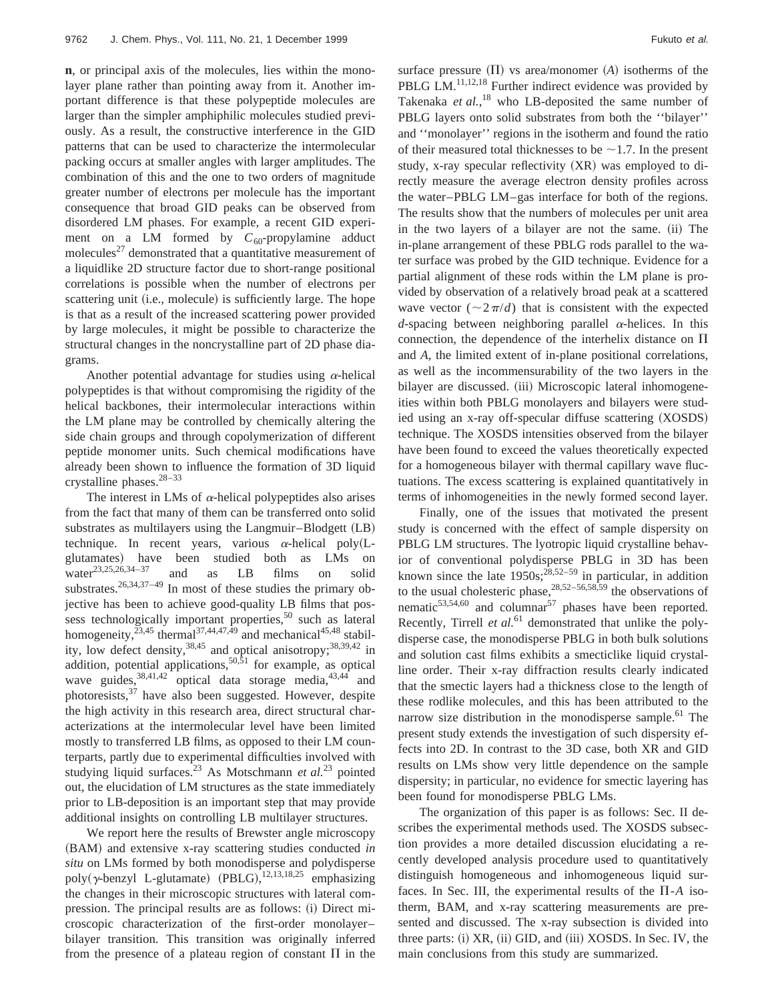**n**, or principal axis of the molecules, lies within the monolayer plane rather than pointing away from it. Another important difference is that these polypeptide molecules are larger than the simpler amphiphilic molecules studied previously. As a result, the constructive interference in the GID patterns that can be used to characterize the intermolecular packing occurs at smaller angles with larger amplitudes. The combination of this and the one to two orders of magnitude greater number of electrons per molecule has the important consequence that broad GID peaks can be observed from disordered LM phases. For example, a recent GID experiment on a LM formed by  $C_{60}$ -propylamine adduct molecules $^{27}$  demonstrated that a quantitative measurement of a liquidlike 2D structure factor due to short-range positional correlations is possible when the number of electrons per scattering unit (i.e., molecule) is sufficiently large. The hope is that as a result of the increased scattering power provided by large molecules, it might be possible to characterize the structural changes in the noncrystalline part of 2D phase diagrams.

Another potential advantage for studies using  $\alpha$ -helical polypeptides is that without compromising the rigidity of the helical backbones, their intermolecular interactions within the LM plane may be controlled by chemically altering the side chain groups and through copolymerization of different peptide monomer units. Such chemical modifications have already been shown to influence the formation of 3D liquid crystalline phases.28–33

The interest in LMs of  $\alpha$ -helical polypeptides also arises from the fact that many of them can be transferred onto solid substrates as multilayers using the Langmuir–Blodgett (LB) technique. In recent years, various  $\alpha$ -helical poly(Lglutamates) have been studied both as LMs on water<sup>23,25,26,34-37</sup> and as LB films on solid substrates.<sup>26,34,37-49</sup> In most of these studies the primary objective has been to achieve good-quality LB films that possess technologically important properties,<sup>50</sup> such as lateral homogeneity,<sup>23,45</sup> thermal<sup>37,44,47,49</sup> and mechanical<sup>45,48</sup> stability, low defect density,  $38,45$  and optical anisotropy;  $38,39,42$  in addition, potential applications,<sup>50,51</sup> for example, as optical wave guides,  $38,41,42$  optical data storage media,  $43,44$  and photoresists, $37$  have also been suggested. However, despite the high activity in this research area, direct structural characterizations at the intermolecular level have been limited mostly to transferred LB films, as opposed to their LM counterparts, partly due to experimental difficulties involved with studying liquid surfaces.<sup>23</sup> As Motschmann *et al.*<sup>23</sup> pointed out, the elucidation of LM structures as the state immediately prior to LB-deposition is an important step that may provide additional insights on controlling LB multilayer structures.

We report here the results of Brewster angle microscopy ~BAM! and extensive x-ray scattering studies conducted *in situ* on LMs formed by both monodisperse and polydisperse poly( $\gamma$ -benzyl L-glutamate) (PBLG),<sup>12,13,18,25</sup> emphasizing the changes in their microscopic structures with lateral compression. The principal results are as follows: (i) Direct microscopic characterization of the first-order monolayer– bilayer transition. This transition was originally inferred from the presence of a plateau region of constant  $\Pi$  in the surface pressure  $(\Pi)$  vs area/monomer  $(A)$  isotherms of the PBLG LM.<sup>11,12,18</sup> Further indirect evidence was provided by Takenaka *et al.*<sup>18</sup> who LB-deposited the same number of PBLG layers onto solid substrates from both the ''bilayer'' and ''monolayer'' regions in the isotherm and found the ratio of their measured total thicknesses to be  $\sim$ 1.7. In the present study, x-ray specular reflectivity  $(XR)$  was employed to directly measure the average electron density profiles across the water–PBLG LM–gas interface for both of the regions. The results show that the numbers of molecules per unit area in the two layers of a bilayer are not the same. (ii) The in-plane arrangement of these PBLG rods parallel to the water surface was probed by the GID technique. Evidence for a partial alignment of these rods within the LM plane is provided by observation of a relatively broad peak at a scattered wave vector  $(\sim 2\pi/d)$  that is consistent with the expected *d*-spacing between neighboring parallel  $\alpha$ -helices. In this connection, the dependence of the interhelix distance on  $\Pi$ and *A*, the limited extent of in-plane positional correlations,

as well as the incommensurability of the two layers in the bilayer are discussed. (iii) Microscopic lateral inhomogeneities within both PBLG monolayers and bilayers were studied using an x-ray off-specular diffuse scattering (XOSDS) technique. The XOSDS intensities observed from the bilayer have been found to exceed the values theoretically expected for a homogeneous bilayer with thermal capillary wave fluctuations. The excess scattering is explained quantitatively in terms of inhomogeneities in the newly formed second layer.

Finally, one of the issues that motivated the present study is concerned with the effect of sample dispersity on PBLG LM structures. The lyotropic liquid crystalline behavior of conventional polydisperse PBLG in 3D has been known since the late  $1950s; ^{28,52-59}$  in particular, in addition to the usual cholesteric phase,  $28,52-56,58,59$  the observations of nematic $53,54,60$  and columnar<sup>57</sup> phases have been reported. Recently, Tirrell *et al.*<sup>61</sup> demonstrated that unlike the polydisperse case, the monodisperse PBLG in both bulk solutions and solution cast films exhibits a smecticlike liquid crystalline order. Their x-ray diffraction results clearly indicated that the smectic layers had a thickness close to the length of these rodlike molecules, and this has been attributed to the narrow size distribution in the monodisperse sample.<sup>61</sup> The present study extends the investigation of such dispersity effects into 2D. In contrast to the 3D case, both XR and GID results on LMs show very little dependence on the sample dispersity; in particular, no evidence for smectic layering has been found for monodisperse PBLG LMs.

The organization of this paper is as follows: Sec. II describes the experimental methods used. The XOSDS subsection provides a more detailed discussion elucidating a recently developed analysis procedure used to quantitatively distinguish homogeneous and inhomogeneous liquid surfaces. In Sec. III, the experimental results of the  $\Pi$ -*A* isotherm, BAM, and x-ray scattering measurements are presented and discussed. The x-ray subsection is divided into three parts: (i) XR, (ii) GID, and (iii) XOSDS. In Sec. IV, the main conclusions from this study are summarized.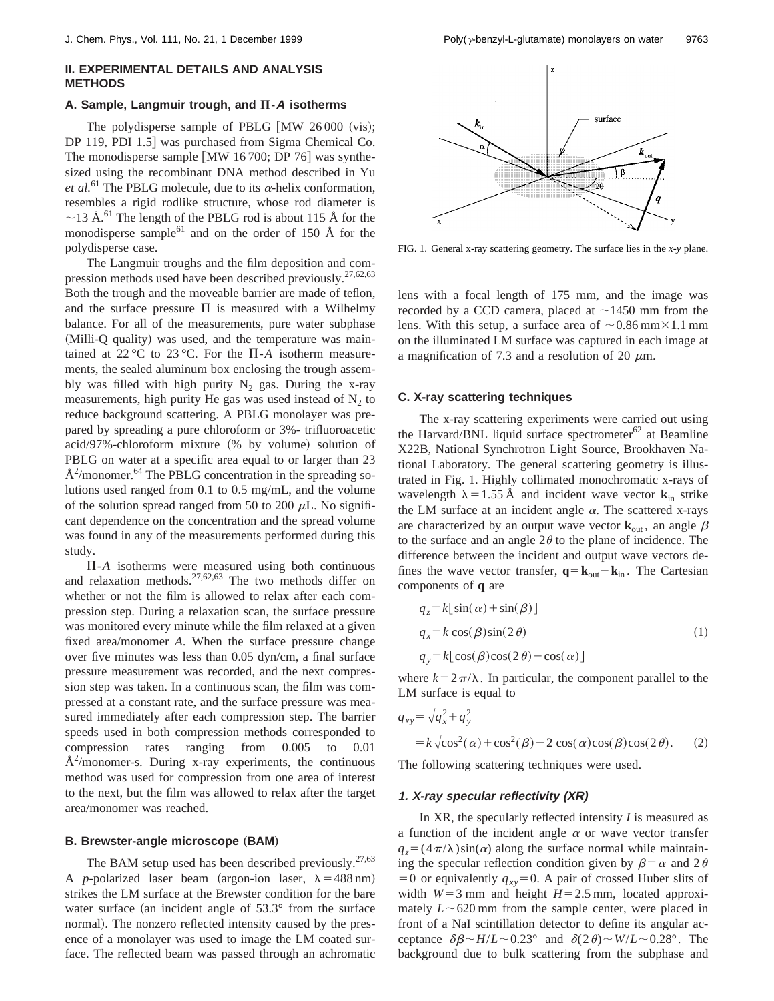# **II. EXPERIMENTAL DETAILS AND ANALYSIS METHODS**

## **A. Sample, Langmuir trough, and**  $\Pi$ **-A** isotherms

The polydisperse sample of PBLG  $\lceil MW \rceil 26000$  (vis); DP 119, PDI 1.5] was purchased from Sigma Chemical Co. The monodisperse sample  $\lceil MW \rceil 16700$ ; DP 76 $\rceil$  was synthesized using the recombinant DNA method described in Yu *et al.*<sup>61</sup> The PBLG molecule, due to its  $\alpha$ -helix conformation, resembles a rigid rodlike structure, whose rod diameter is  $\sim$ 13 Å.<sup>61</sup> The length of the PBLG rod is about 115 Å for the monodisperse sample $^{61}$  and on the order of 150 Å for the polydisperse case.

The Langmuir troughs and the film deposition and compression methods used have been described previously.<sup>27,62,63</sup> Both the trough and the moveable barrier are made of teflon, and the surface pressure  $\Pi$  is measured with a Wilhelmy balance. For all of the measurements, pure water subphase (Milli-Q quality) was used, and the temperature was maintained at 22 °C to 23 °C. For the  $\Pi$ -A isotherm measurements, the sealed aluminum box enclosing the trough assembly was filled with high purity  $N_2$  gas. During the x-ray measurements, high purity He gas was used instead of  $N_2$  to reduce background scattering. A PBLG monolayer was prepared by spreading a pure chloroform or 3%- trifluoroacetic acid/97%-chloroform mixture (% by volume) solution of PBLG on water at a specific area equal to or larger than 23  $\AA^2$ /monomer.<sup>64</sup> The PBLG concentration in the spreading solutions used ranged from 0.1 to 0.5 mg/mL, and the volume of the solution spread ranged from 50 to 200  $\mu$ L. No significant dependence on the concentration and the spread volume was found in any of the measurements performed during this study.

 $\Pi$ - $A$  isotherms were measured using both continuous and relaxation methods.<sup>27,62,63</sup> The two methods differ on whether or not the film is allowed to relax after each compression step. During a relaxation scan, the surface pressure was monitored every minute while the film relaxed at a given fixed area/monomer *A*. When the surface pressure change over five minutes was less than 0.05 dyn/cm, a final surface pressure measurement was recorded, and the next compression step was taken. In a continuous scan, the film was compressed at a constant rate, and the surface pressure was measured immediately after each compression step. The barrier speeds used in both compression methods corresponded to compression rates ranging from 0.005 to 0.01  $A<sup>2</sup>/monomer-s$ . During x-ray experiments, the continuous method was used for compression from one area of interest to the next, but the film was allowed to relax after the target area/monomer was reached.

### **B. Brewster-angle microscope (BAM)**

The BAM setup used has been described previously.  $27,63$ A *p*-polarized laser beam (argon-ion laser,  $\lambda = 488$  nm) strikes the LM surface at the Brewster condition for the bare water surface (an incident angle of  $53.3^\circ$  from the surface normal). The nonzero reflected intensity caused by the presence of a monolayer was used to image the LM coated surface. The reflected beam was passed through an achromatic



FIG. 1. General x-ray scattering geometry. The surface lies in the *x-y* plane.

lens with a focal length of 175 mm, and the image was recorded by a CCD camera, placed at  $\sim$ 1450 mm from the lens. With this setup, a surface area of  $\sim 0.86$  mm $\times 1.1$  mm on the illuminated LM surface was captured in each image at a magnification of 7.3 and a resolution of 20  $\mu$ m.

## **C. X-ray scattering techniques**

The x-ray scattering experiments were carried out using the Harvard/BNL liquid surface spectrometer $62$  at Beamline X22B, National Synchrotron Light Source, Brookhaven National Laboratory. The general scattering geometry is illustrated in Fig. 1. Highly collimated monochromatic x-rays of wavelength  $\lambda = 1.55 \text{ Å}$  and incident wave vector **k**<sub>in</sub> strike the LM surface at an incident angle  $\alpha$ . The scattered x-rays are characterized by an output wave vector  $\mathbf{k}_{out}$ , an angle  $\beta$ to the surface and an angle  $2\theta$  to the plane of incidence. The difference between the incident and output wave vectors defines the wave vector transfer,  $\mathbf{q} = \mathbf{k}_{out} - \mathbf{k}_{in}$ . The Cartesian components of **q** are

$$
q_z = k[\sin(\alpha) + \sin(\beta)]
$$
  
\n
$$
q_x = k \cos(\beta) \sin(2\theta)
$$
  
\n
$$
q_y = k[\cos(\beta)\cos(2\theta) - \cos(\alpha)]
$$
\n(1)

where  $k=2\pi/\lambda$ . In particular, the component parallel to the LM surface is equal to

$$
q_{xy} = \sqrt{q_x^2 + q_y^2}
$$
  
=  $k \sqrt{\cos^2(\alpha) + \cos^2(\beta) - 2 \cos(\alpha) \cos(\beta) \cos(2\theta)}$ . (2)

The following scattering techniques were used.

#### **1. X-ray specular reflectivity (XR)**

In XR, the specularly reflected intensity *I* is measured as a function of the incident angle  $\alpha$  or wave vector transfer  $q_z = (4\pi/\lambda)\sin(\alpha)$  along the surface normal while maintaining the specular reflection condition given by  $\beta = \alpha$  and 2 $\theta$  $=0$  or equivalently  $q_{xy}=0$ . A pair of crossed Huber slits of width  $W=3$  mm and height  $H=2.5$  mm, located approximately  $L \sim 620$  mm from the sample center, were placed in front of a NaI scintillation detector to define its angular acceptance  $\delta\beta \sim H/L \sim 0.23^{\circ}$  and  $\delta(2\theta) \sim W/L \sim 0.28^{\circ}$ . The background due to bulk scattering from the subphase and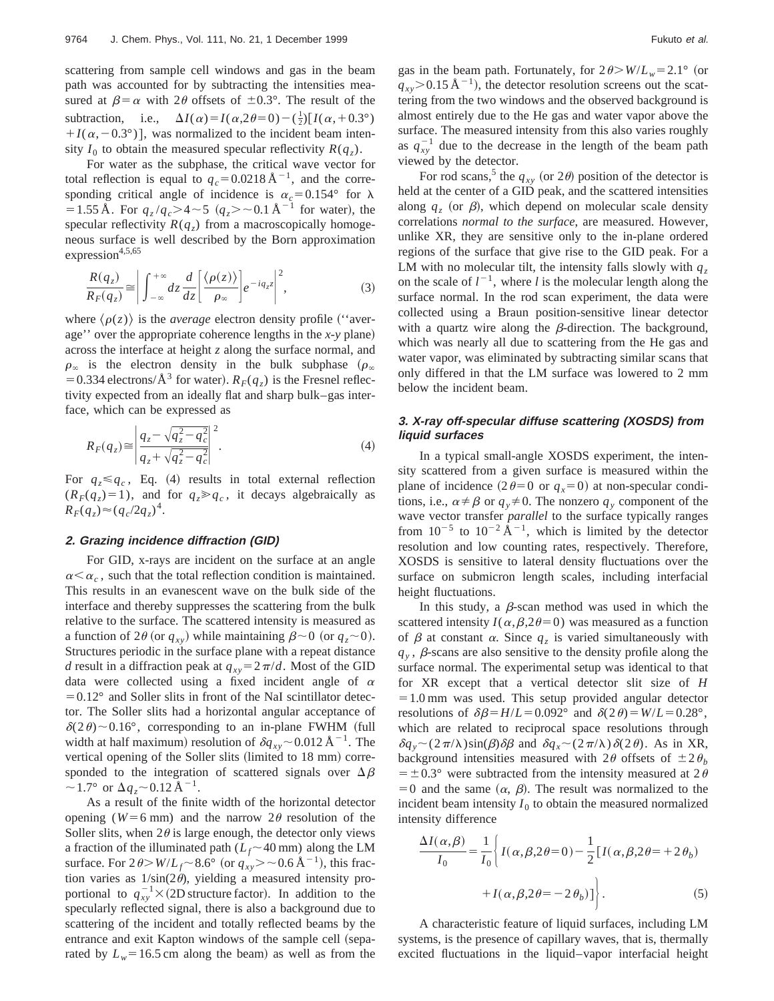scattering from sample cell windows and gas in the beam path was accounted for by subtracting the intensities measured at  $\beta = \alpha$  with 2 $\theta$  offsets of  $\pm 0.3^{\circ}$ . The result of the subtraction, i.e.,  $\Delta I(\alpha) = I(\alpha, 2\theta = 0) - (\frac{1}{2})[I(\alpha, +0.3^{\circ})$  $+I(\alpha,-0.3^{\circ})$ , was normalized to the incident beam intensity  $I_0$  to obtain the measured specular reflectivity  $R(q_z)$ .

For water as the subphase, the critical wave vector for total reflection is equal to  $q_c$ =0.0218 Å<sup>-1</sup>, and the corresponding critical angle of incidence is  $\alpha_c = 0.154$ ° for  $\lambda$ = 1.55 Å. For  $q_z/q_c > 4 \sim 5$  ( $q_z > \sim 0.1$  Å<sup>-1</sup> for water), the specular reflectivity  $R(q_z)$  from a macroscopically homogeneous surface is well described by the Born approximation expression $4,5,65$ 

$$
\frac{R(q_z)}{R_F(q_z)} \approx \left| \int_{-\infty}^{+\infty} dz \frac{d}{dz} \left[ \frac{\langle \rho(z) \rangle}{\rho_{\infty}} \right] e^{-iq_z z} \right|^2, \tag{3}
$$

where  $\langle \rho(z) \rangle$  is the *average* electron density profile ("average'' over the appropriate coherence lengths in the *x*-y plane) across the interface at height *z* along the surface normal, and  $\rho_{\infty}$  is the electron density in the bulk subphase  $(\rho_{\infty})$ = 0.334 electrons/ $\AA^3$  for water).  $R_F(q_z)$  is the Fresnel reflectivity expected from an ideally flat and sharp bulk–gas interface, which can be expressed as

$$
R_F(q_z) \approx \left| \frac{q_z - \sqrt{q_z^2 - q_c^2}}{q_z + \sqrt{q_z^2 - q_c^2}} \right|^2.
$$
 (4)

For  $q_z \leq q_c$ , Eq. (4) results in total external reflection  $(R_F(q_z)=1)$ , and for  $q_z \geqslant q_c$ , it decays algebraically as  $R_F(q_z) \approx (q_c/2q_z)^4$ .

## **2. Grazing incidence diffraction (GID)**

For GID, x-rays are incident on the surface at an angle  $\alpha < \alpha_c$ , such that the total reflection condition is maintained. This results in an evanescent wave on the bulk side of the interface and thereby suppresses the scattering from the bulk relative to the surface. The scattered intensity is measured as a function of 2 $\theta$  (or  $q_{xy}$ ) while maintaining  $\beta \sim 0$  (or  $q_z \sim 0$ ). Structures periodic in the surface plane with a repeat distance *d* result in a diffraction peak at  $q_{xy} = 2\pi/d$ . Most of the GID data were collected using a fixed incident angle of  $\alpha$  $=0.12^{\circ}$  and Soller slits in front of the NaI scintillator detector. The Soller slits had a horizontal angular acceptance of  $\delta(2\theta)$  ~ 0.16°, corresponding to an in-plane FWHM (full width at half maximum) resolution of  $\delta q_{xy}$  ~ 0.012 Å<sup>-1</sup>. The vertical opening of the Soller slits (limited to 18 mm) corresponded to the integration of scattered signals over  $\Delta \beta$  $\sim$  1.7° or  $\Delta q$ <sub>z</sub> $\sim$  0.12 Å<sup>-1</sup>.

As a result of the finite width of the horizontal detector opening ( $W=6$  mm) and the narrow  $2\theta$  resolution of the Soller slits, when  $2\theta$  is large enough, the detector only views a fraction of the illuminated path  $(L_f \sim 40 \text{ mm})$  along the LM surface. For  $2\theta > W/L_f \sim 8.6^\circ$  (or  $q_{xy} > \sim 0.6 \,\text{\AA}^{-1}$ ), this fraction varies as  $1/\sin(2\theta)$ , yielding a measured intensity proportional to  $q_{xy}^{-1} \times (2D)$  structure factor). In addition to the specularly reflected signal, there is also a background due to scattering of the incident and totally reflected beams by the entrance and exit Kapton windows of the sample cell (separated by  $L_w$ =16.5 cm along the beam) as well as from the gas in the beam path. Fortunately, for  $2\theta > W/L_w = 2.1$ ° (or  $q_{xy}$ >0.15 Å<sup>-1</sup>), the detector resolution screens out the scattering from the two windows and the observed background is almost entirely due to the He gas and water vapor above the surface. The measured intensity from this also varies roughly as  $q_{xy}^{-1}$  due to the decrease in the length of the beam path viewed by the detector.

For rod scans,<sup>5</sup> the  $q_{xy}$  (or 2 $\theta$ ) position of the detector is held at the center of a GID peak, and the scattered intensities along  $q<sub>z</sub>$  (or  $\beta$ ), which depend on molecular scale density correlations *normal to the surface*, are measured. However, unlike XR, they are sensitive only to the in-plane ordered regions of the surface that give rise to the GID peak. For a LM with no molecular tilt, the intensity falls slowly with  $q_z$ on the scale of  $l^{-1}$ , where *l* is the molecular length along the surface normal. In the rod scan experiment, the data were collected using a Braun position-sensitive linear detector with a quartz wire along the  $\beta$ -direction. The background, which was nearly all due to scattering from the He gas and water vapor, was eliminated by subtracting similar scans that only differed in that the LM surface was lowered to 2 mm below the incident beam.

# **3. X-ray off-specular diffuse scattering (XOSDS) from liquid surfaces**

In a typical small-angle XOSDS experiment, the intensity scattered from a given surface is measured within the plane of incidence  $(2\theta=0 \text{ or } q_x=0)$  at non-specular conditions, i.e.,  $\alpha \neq \beta$  or  $q_y \neq 0$ . The nonzero  $q_y$  component of the wave vector transfer *parallel* to the surface typically ranges from  $10^{-5}$  to  $10^{-2}$   $\rm \AA^{-1}$ , which is limited by the detector resolution and low counting rates, respectively. Therefore, XOSDS is sensitive to lateral density fluctuations over the surface on submicron length scales, including interfacial height fluctuations.

In this study, a  $\beta$ -scan method was used in which the scattered intensity  $I(\alpha,\beta,2\theta=0)$  was measured as a function of  $\beta$  at constant  $\alpha$ . Since  $q_z$  is varied simultaneously with  $q<sub>y</sub>$ ,  $\beta$ -scans are also sensitive to the density profile along the surface normal. The experimental setup was identical to that for XR except that a vertical detector slit size of *H*  $=1.0$  mm was used. This setup provided angular detector resolutions of  $\delta\beta = H/L = 0.092^{\circ}$  and  $\delta(2\theta) = W/L = 0.28^{\circ}$ , which are related to reciprocal space resolutions through  $\delta q_y \sim (2\pi/\lambda) \sin(\beta) \delta \beta$  and  $\delta q_x \sim (2\pi/\lambda) \delta(2\theta)$ . As in XR, background intensities measured with  $2\theta$  offsets of  $\pm 2\theta_h$  $= \pm 0.3^{\circ}$  were subtracted from the intensity measured at 2 $\theta$  $=0$  and the same  $(\alpha, \beta)$ . The result was normalized to the incident beam intensity  $I_0$  to obtain the measured normalized intensity difference

$$
\frac{\Delta I(\alpha,\beta)}{I_0} = \frac{1}{I_0} \left\{ I(\alpha,\beta,2\theta=0) - \frac{1}{2} [I(\alpha,\beta,2\theta=+2\theta_b) + I(\alpha,\beta,2\theta=-2\theta_b)] \right\}.
$$
\n(5)

A characteristic feature of liquid surfaces, including LM systems, is the presence of capillary waves, that is, thermally excited fluctuations in the liquid–vapor interfacial height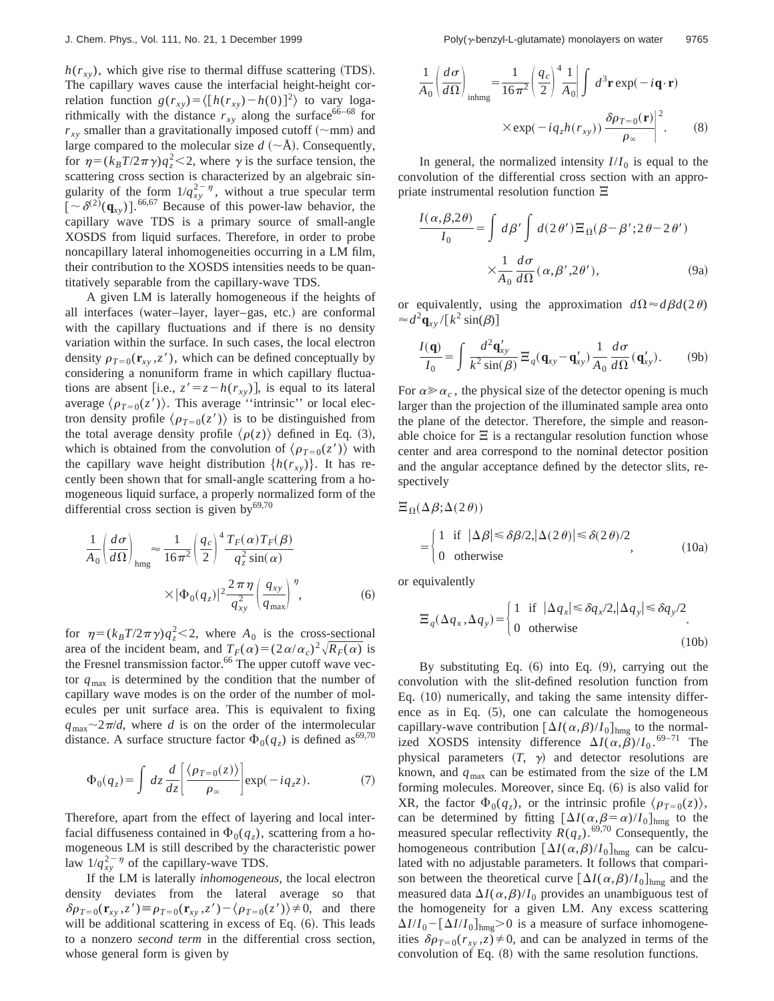$h(r_{xy})$ , which give rise to thermal diffuse scattering (TDS). The capillary waves cause the interfacial height-height correlation function  $g(r_{xy}) = \langle [h(r_{xy}) - h(0)]^2 \rangle$  to vary logarithmically with the distance  $r_{xy}$  along the surface<sup>66–68</sup> for  $r_{xy}$  smaller than a gravitationally imposed cutoff  $(\sim$ mm) and large compared to the molecular size  $d \sim A$ ). Consequently, for  $\eta = (k_B T/2\pi \gamma) q_z^2 < 2$ , where  $\gamma$  is the surface tension, the scattering cross section is characterized by an algebraic singularity of the form  $1/q_{xy}^{2-\eta}$ , without a true specular term  $\left[ \sim \delta^{(2)}(\mathbf{q}_{xy}) \right]$ .<sup>66,67</sup> Because of this power-law behavior, the capillary wave TDS is a primary source of small-angle XOSDS from liquid surfaces. Therefore, in order to probe noncapillary lateral inhomogeneities occurring in a LM film, their contribution to the XOSDS intensities needs to be quantitatively separable from the capillary-wave TDS.

A given LM is laterally homogeneous if the heights of all interfaces (water–layer, layer–gas, etc.) are conformal with the capillary fluctuations and if there is no density variation within the surface. In such cases, the local electron density  $\rho_{T=0}(\mathbf{r}_{xy}, z')$ , which can be defined conceptually by considering a nonuniform frame in which capillary fluctuations are absent [i.e.,  $z' = z - h(r_{xy})$ ], is equal to its lateral average  $\langle \rho_{T=0}(z') \rangle$ . This average "intrinsic" or local electron density profile  $\langle \rho_{T=0}(z') \rangle$  is to be distinguished from the total average density profile  $\langle \rho(z) \rangle$  defined in Eq. (3), which is obtained from the convolution of  $\langle \rho_{T=0}(z') \rangle$  with the capillary wave height distribution  $\{h(r_{xy})\}$ . It has recently been shown that for small-angle scattering from a homogeneous liquid surface, a properly normalized form of the differential cross section is given by $69,70$ 

$$
\frac{1}{A_0} \left( \frac{d\sigma}{d\Omega} \right)_{\text{hmg}} \approx \frac{1}{16\pi^2} \left( \frac{q_c}{2} \right)^4 \frac{T_F(\alpha) T_F(\beta)}{q_z^2 \sin(\alpha)} \times |\Phi_0(q_z)|^2 \frac{2\pi\eta}{q_{xy}^2} \left( \frac{q_{xy}}{q_{\text{max}}} \right)^{\eta},
$$
\n(6)

for  $\eta = (k_B T/2\pi \gamma)q_z^2 < 2$ , where *A*<sub>0</sub> is the cross-sectional area of the incident beam, and  $T_F(\alpha)=(2\alpha/\alpha_c)^2\sqrt{R_F(\alpha)}$  is the Fresnel transmission factor.<sup>66</sup> The upper cutoff wave vector  $q_{\text{max}}$  is determined by the condition that the number of capillary wave modes is on the order of the number of molecules per unit surface area. This is equivalent to fixing  $q_{\text{max}} \sim 2\pi/d$ , where *d* is on the order of the intermolecular distance. A surface structure factor  $\Phi_0(q_z)$  is defined as<sup>69,70</sup>

$$
\Phi_0(q_z) = \int dz \frac{d}{dz} \left[ \frac{\langle \rho_{T=0}(z) \rangle}{\rho_{\infty}} \right] \exp(-iq_z z). \tag{7}
$$

Therefore, apart from the effect of layering and local interfacial diffuseness contained in  $\Phi_0(q_z)$ , scattering from a homogeneous LM is still described by the characteristic power law  $1/q_{xy}^{2-\eta}$  of the capillary-wave TDS.

If the LM is laterally *inhomogeneous*, the local electron density deviates from the lateral average so that  $\delta \rho_{T=0}(\mathbf{r}_{xy}, z') \equiv \rho_{T=0}(\mathbf{r}_{xy}, z') - \langle \rho_{T=0}(z') \rangle \neq 0$ , and there will be additional scattering in excess of Eq.  $(6)$ . This leads to a nonzero *second term* in the differential cross section, whose general form is given by

$$
\frac{1}{A_0} \left( \frac{d\sigma}{d\Omega} \right)_{\text{inhmg}} = \frac{1}{16\pi^2} \left( \frac{q_c}{2} \right)^4 \frac{1}{A_0} \left| \int d^3 \mathbf{r} \exp(-i\mathbf{q} \cdot \mathbf{r}) \right|
$$

$$
\times \exp(-i q_z h(r_{xy})) \frac{\delta \rho_{T=0}(\mathbf{r})}{\rho_{\infty}} \right|^2. \tag{8}
$$

In general, the normalized intensity  $I/I_0$  is equal to the convolution of the differential cross section with an appropriate instrumental resolution function  $\Xi$ 

$$
\frac{I(\alpha, \beta, 2\theta)}{I_0} = \int d\beta' \int d(2\theta') \Xi_{\Omega}(\beta - \beta'; 2\theta - 2\theta')
$$

$$
\times \frac{1}{A_0} \frac{d\sigma}{d\Omega}(\alpha, \beta'; 2\theta'), \tag{9a}
$$

or equivalently, using the approximation  $d\Omega \approx d\beta d(2\theta)$  $\approx d^2 \mathbf{q}_{xy} / [k^2 \sin(\beta)]$ 

$$
\frac{I(\mathbf{q})}{I_0} = \int \frac{d^2 \mathbf{q}'_{xy}}{k^2 \sin(\beta)} \Xi_q(\mathbf{q}_{xy} - \mathbf{q}'_{xy}) \frac{1}{A_0} \frac{d\sigma}{d\Omega}(\mathbf{q}'_{xy}).
$$
 (9b)

For  $\alpha \gg \alpha_c$ , the physical size of the detector opening is much larger than the projection of the illuminated sample area onto the plane of the detector. Therefore, the simple and reasonable choice for  $\Xi$  is a rectangular resolution function whose center and area correspond to the nominal detector position and the angular acceptance defined by the detector slits, respectively

$$
\Xi_{\Omega}(\Delta \beta; \Delta(2\theta))
$$
  
= 
$$
\begin{cases} 1 & \text{if } |\Delta \beta| \le \delta \beta/2, |\Delta(2\theta)| \le \delta(2\theta)/2, \\ 0 & \text{otherwise} \end{cases}
$$
 (10a)

or equivalently

$$
\Xi_q(\Delta q_x, \Delta q_y) = \begin{cases} 1 & \text{if } |\Delta q_x| \le \delta q_x/2, |\Delta q_y| \le \delta q_y/2 \\ 0 & \text{otherwise} \end{cases}
$$
 (10b)

By substituting Eq.  $(6)$  into Eq.  $(9)$ , carrying out the convolution with the slit-defined resolution function from Eq.  $(10)$  numerically, and taking the same intensity difference as in Eq.  $(5)$ , one can calculate the homogeneous capillary-wave contribution  $[\Delta I(\alpha,\beta)/I_0]_{\text{hmg}}$  to the normalized XOSDS intensity difference  $\Delta I(\alpha, \beta)/I_0$  . <sup>69–71</sup> The physical parameters  $(T, \gamma)$  and detector resolutions are known, and  $q_{\text{max}}$  can be estimated from the size of the LM forming molecules. Moreover, since Eq.  $(6)$  is also valid for XR, the factor  $\Phi_0(q_z)$ , or the intrinsic profile  $\langle \rho_{T=0}(z) \rangle$ , can be determined by fitting  $[\Delta I(\alpha, \beta = \alpha)/I_0]_{\text{hmg}}$  to the measured specular reflectivity  $R(q_z)$ .<sup>69,70</sup> Consequently, the homogeneous contribution  $\left[\Delta I(\alpha,\beta)/I_0\right]_{\text{hmg}}$  can be calculated with no adjustable parameters. It follows that comparison between the theoretical curve  $\left[\Delta I(\alpha,\beta)/I_0\right]_{\text{hmg}}$  and the measured data  $\Delta I(\alpha,\beta)/I_0$  provides an unambiguous test of the homogeneity for a given LM. Any excess scattering  $\Delta I/I_0 - [\Delta I/I_0]_{\text{hmg}} > 0$  is a measure of surface inhomogeneities  $\delta \rho_{T=0}(r_{xy}, z) \neq 0$ , and can be analyzed in terms of the convolution of Eq.  $(8)$  with the same resolution functions.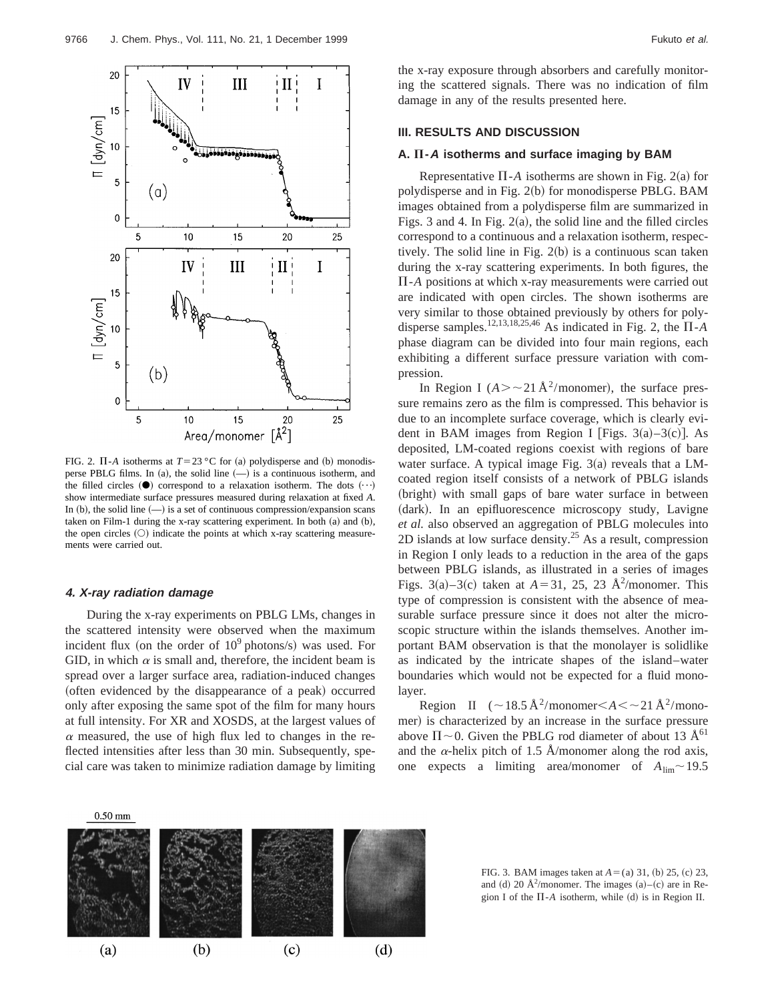

FIG. 2.  $\Pi$ -*A* isotherms at  $T=23$  °C for (a) polydisperse and (b) monodisperse PBLG films. In (a), the solid line  $(-)$  is a continuous isotherm, and the filled circles  $(①)$  correspond to a relaxation isotherm. The dots  $(··)$ show intermediate surface pressures measured during relaxation at fixed *A*. In (b), the solid line  $(-)$  is a set of continuous compression/expansion scans taken on Film-1 during the x-ray scattering experiment. In both  $(a)$  and  $(b)$ , the open circles  $(O)$  indicate the points at which x-ray scattering measurements were carried out.

#### **4. X-ray radiation damage**

During the x-ray experiments on PBLG LMs, changes in the scattered intensity were observed when the maximum incident flux (on the order of  $10^9$  photons/s) was used. For GID, in which  $\alpha$  is small and, therefore, the incident beam is spread over a larger surface area, radiation-induced changes (often evidenced by the disappearance of a peak) occurred only after exposing the same spot of the film for many hours at full intensity. For XR and XOSDS, at the largest values of  $\alpha$  measured, the use of high flux led to changes in the reflected intensities after less than 30 min. Subsequently, special care was taken to minimize radiation damage by limiting the x-ray exposure through absorbers and carefully monitoring the scattered signals. There was no indication of film damage in any of the results presented here.

# **III. RESULTS AND DISCUSSION**

## **A.** P**-A isotherms and surface imaging by BAM**

Representative  $\Pi$ -*A* isotherms are shown in Fig. 2(a) for polydisperse and in Fig. 2(b) for monodisperse PBLG. BAM images obtained from a polydisperse film are summarized in Figs. 3 and 4. In Fig.  $2(a)$ , the solid line and the filled circles correspond to a continuous and a relaxation isotherm, respectively. The solid line in Fig.  $2(b)$  is a continuous scan taken during the x-ray scattering experiments. In both figures, the  $\Pi$ -*A* positions at which x-ray measurements were carried out are indicated with open circles. The shown isotherms are very similar to those obtained previously by others for polydisperse samples.<sup>12,13,18,25,46</sup> As indicated in Fig. 2, the  $\Pi$ -*A* phase diagram can be divided into four main regions, each exhibiting a different surface pressure variation with compression.

In Region I  $(A > -21 \text{ Å}^2/\text{monomer})$ , the surface pressure remains zero as the film is compressed. This behavior is due to an incomplete surface coverage, which is clearly evident in BAM images from Region I [Figs.  $3(a)-3(c)$ ]. As deposited, LM-coated regions coexist with regions of bare water surface. A typical image Fig.  $3(a)$  reveals that a LMcoated region itself consists of a network of PBLG islands (bright) with small gaps of bare water surface in between (dark). In an epifluorescence microscopy study, Lavigne *et al.* also observed an aggregation of PBLG molecules into 2D islands at low surface density.<sup>25</sup> As a result, compression in Region I only leads to a reduction in the area of the gaps between PBLG islands, as illustrated in a series of images Figs. 3(a)–3(c) taken at  $A = 31$ , 25, 23 Å<sup>2</sup>/monomer. This type of compression is consistent with the absence of measurable surface pressure since it does not alter the microscopic structure within the islands themselves. Another important BAM observation is that the monolayer is solidlike as indicated by the intricate shapes of the island–water boundaries which would not be expected for a fluid monolayer.

Region II ( $\sim$ 18.5 Å<sup>2</sup>/monomer $\lt$ A $\lt$  $\sim$ 21 Å<sup>2</sup>/monomer) is characterized by an increase in the surface pressure above  $\Pi \sim 0$ . Given the PBLG rod diameter of about 13 Å<sup>61</sup> and the  $\alpha$ -helix pitch of 1.5 Å/monomer along the rod axis, one expects a limiting area/monomer of  $A_{\text{lim}} \sim 19.5$ 



FIG. 3. BAM images taken at  $A = (a) 31, (b) 25, (c) 23,$ and (d) 20  $\AA^2$ /monomer. The images (a)–(c) are in Region I of the  $\Pi$ -*A* isotherm, while (d) is in Region II.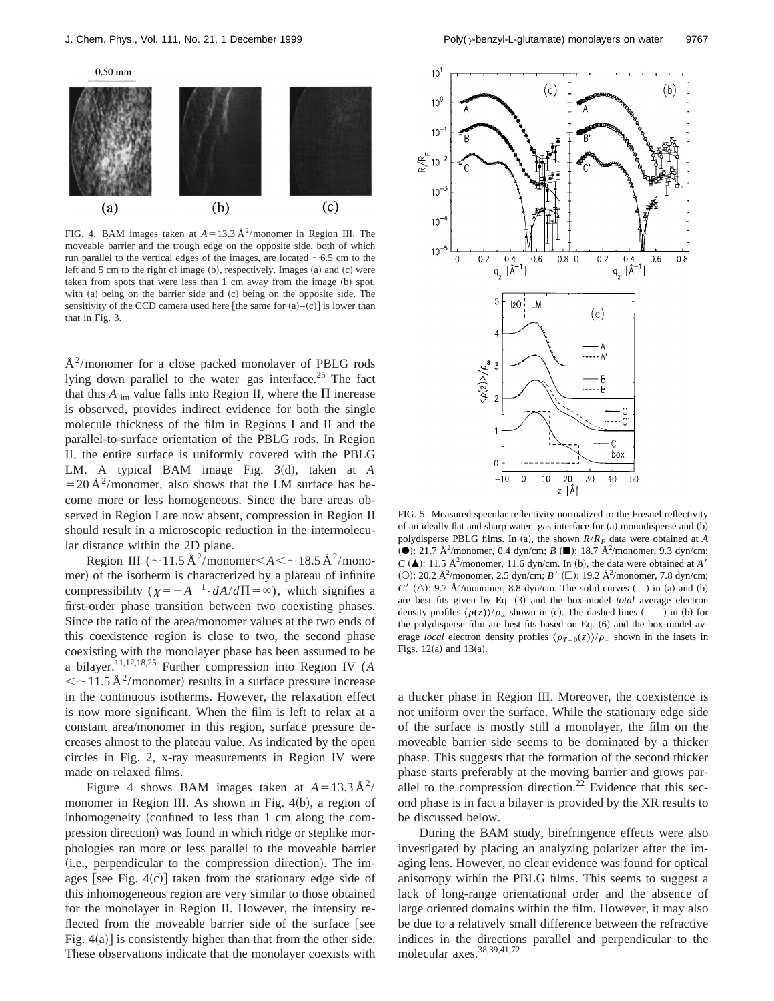

FIG. 4. BAM images taken at  $A=13.3 \text{ Å}^2/\text{monomer}$  in Region III. The moveable barrier and the trough edge on the opposite side, both of which run parallel to the vertical edges of the images, are located  $~6.5$  cm to the left and  $5$  cm to the right of image  $(b)$ , respectively. Images  $(a)$  and  $(c)$  were taken from spots that were less than 1 cm away from the image (b) spot, with  $(a)$  being on the barrier side and  $(c)$  being on the opposite side. The sensitivity of the CCD camera used here [the same for  $(a)$ – $(c)$ ] is lower than that in Fig. 3.

 $A<sup>2</sup>/$ monomer for a close packed monolayer of PBLG rods lying down parallel to the water–gas interface.<sup>25</sup> The fact that this  $A_{\text{lim}}$  value falls into Region II, where the  $\Pi$  increase is observed, provides indirect evidence for both the single molecule thickness of the film in Regions I and II and the parallel-to-surface orientation of the PBLG rods. In Region II, the entire surface is uniformly covered with the PBLG LM. A typical BAM image Fig. 3(d), taken at *A*  $=$  20 Å<sup>2</sup>/monomer, also shows that the LM surface has become more or less homogeneous. Since the bare areas observed in Region I are now absent, compression in Region II should result in a microscopic reduction in the intermolecular distance within the 2D plane.

Region III ( $\sim$ 11.5 Å<sup>2</sup>/monomer $\lt$ A $\lt$  $\sim$ 18.5 Å<sup>2</sup>/monomer) of the isotherm is characterized by a plateau of infinite compressibility  $(\chi = -A^{-1} \cdot dA/d\Pi = \infty)$ , which signifies a first-order phase transition between two coexisting phases. Since the ratio of the area/monomer values at the two ends of this coexistence region is close to two, the second phase coexisting with the monolayer phase has been assumed to be a bilayer.11,12,18,25 Further compression into Region IV (*A*  $\langle \sim 11.5 \text{ Å}^2/\text{monomer} \rangle$  results in a surface pressure increase in the continuous isotherms. However, the relaxation effect is now more significant. When the film is left to relax at a constant area/monomer in this region, surface pressure decreases almost to the plateau value. As indicated by the open circles in Fig. 2, x-ray measurements in Region IV were made on relaxed films.

Figure 4 shows BAM images taken at  $A=13.3 \text{ Å}^2$ / monomer in Region III. As shown in Fig.  $4(b)$ , a region of inhomogeneity (confined to less than 1 cm along the compression direction) was found in which ridge or steplike morphologies ran more or less parallel to the moveable barrier (i.e., perpendicular to the compression direction). The images [see Fig.  $4(c)$ ] taken from the stationary edge side of this inhomogeneous region are very similar to those obtained for the monolayer in Region II. However, the intensity reflected from the moveable barrier side of the surface [see Fig.  $4(a)$ ] is consistently higher than that from the other side. These observations indicate that the monolayer coexists with



FIG. 5. Measured specular reflectivity normalized to the Fresnel reflectivity of an ideally flat and sharp water–gas interface for  $(a)$  monodisperse and  $(b)$ polydisperse PBLG films. In (a), the shown  $R/R_F$  data were obtained at *A* ( $\bullet$ ): 21.7 Å<sup>2</sup>/monomer, 0.4 dyn/cm; *B* ( $\blacksquare$ ): 18.7 Å<sup>2</sup>/monomer, 9.3 dyn/cm;  $C$  ( $\triangle$ ): 11.5 Å<sup>2</sup>/monomer, 11.6 dyn/cm. In (b), the data were obtained at *A'* (O): 20.2 Å<sup>2</sup>/monomer, 2.5 dyn/cm; *B'* ( $\square$ ): 19.2 Å<sup>2</sup>/monomer, 7.8 dyn/cm;  $C'$  ( $\triangle$ ): 9.7 Å<sup>2</sup>/monomer, 8.8 dyn/cm. The solid curves  $(-)$  in (a) and (b) are best fits given by Eq.  $(3)$  and the box-model *total* average electron density profiles  $\langle \rho(z) \rangle / \rho_{\infty}$  shown in (c). The dashed lines  $(-,-)$  in (b) for the polydisperse film are best fits based on Eq. (6) and the box-model average *local* electron density profiles  $\langle \rho_{T=0}(z) \rangle / \rho_{\infty}$  shown in the insets in Figs.  $12(a)$  and  $13(a)$ .

a thicker phase in Region III. Moreover, the coexistence is not uniform over the surface. While the stationary edge side of the surface is mostly still a monolayer, the film on the moveable barrier side seems to be dominated by a thicker phase. This suggests that the formation of the second thicker phase starts preferably at the moving barrier and grows parallel to the compression direction.<sup>22</sup> Evidence that this second phase is in fact a bilayer is provided by the XR results to be discussed below.

During the BAM study, birefringence effects were also investigated by placing an analyzing polarizer after the imaging lens. However, no clear evidence was found for optical anisotropy within the PBLG films. This seems to suggest a lack of long-range orientational order and the absence of large oriented domains within the film. However, it may also be due to a relatively small difference between the refractive indices in the directions parallel and perpendicular to the molecular axes.<sup>38,39,41,72</sup>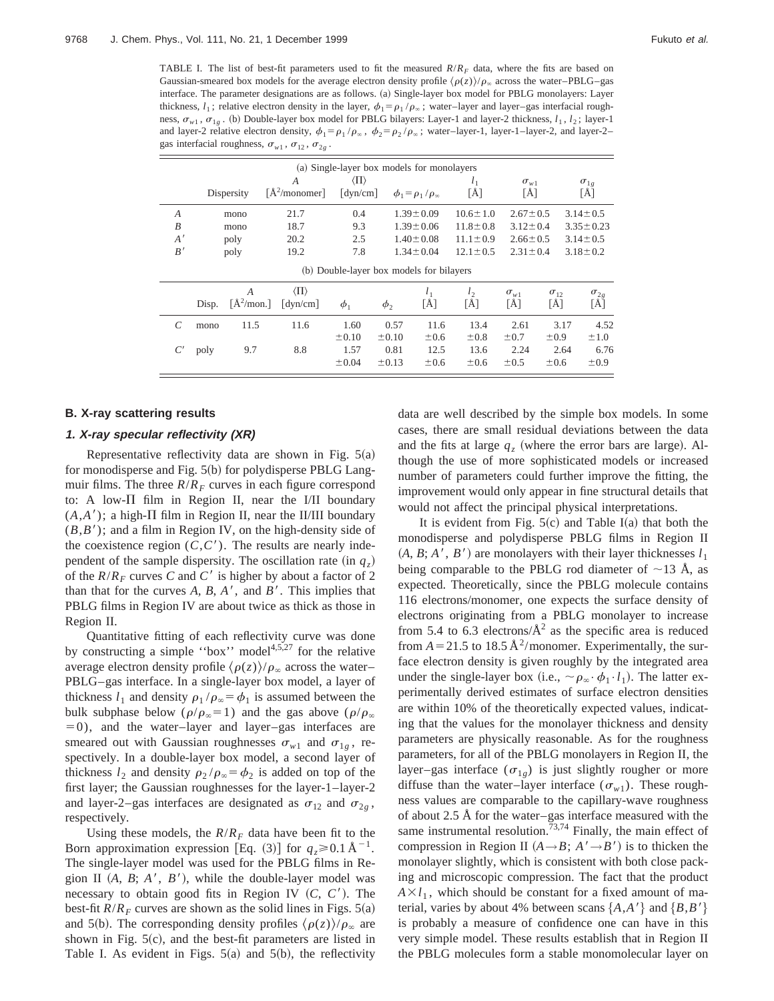TABLE I. The list of best-fit parameters used to fit the measured  $R/R<sub>F</sub>$  data, where the fits are based on Gaussian-smeared box models for the average electron density profile  $\langle \rho(z) \rangle / \rho_{\infty}$  across the water–PBLG–gas interface. The parameter designations are as follows. (a) Single-layer box model for PBLG monolayers: Layer thickness,  $l_1$ ; relative electron density in the layer,  $\phi_1 = \rho_1 / \rho_\infty$ ; water–layer and layer–gas interfacial roughness,  $\sigma_{w1}$ ,  $\sigma_{1g}$ . (b) Double-layer box model for PBLG bilayers: Layer-1 and layer-2 thickness,  $l_1$ ,  $l_2$ ; layer-1 and layer-2 relative electron density,  $\phi_1 = \rho_1 / \rho_\infty$ ,  $\phi_2 = \rho_2 / \rho_\infty$ ; water-layer-1, layer-1–layer-2, and layer-2– gas interfacial roughness,  $\sigma_{w1}$ ,  $\sigma_{12}$ ,  $\sigma_{2g}$ .

| (a) Single-layer box models for monolayers |       |                                                         |                                                        |                                                        |                                  |                                   |                       |                                |                           |                      |
|--------------------------------------------|-------|---------------------------------------------------------|--------------------------------------------------------|--------------------------------------------------------|----------------------------------|-----------------------------------|-----------------------|--------------------------------|---------------------------|----------------------|
|                                            |       | Dispersity                                              | A<br>[A <sup>2</sup> /monomer]                         | $\langle \Pi \rangle$<br>$\lceil \text{dyn/cm} \rceil$ |                                  | $\phi_1 = \rho_1/\rho_\infty$     | $l_1$<br>[Å]          | $\sigma_{w1}$<br>[Å]           |                           | $\sigma_{1g}$<br>[Å] |
| $\overline{A}$                             |       | mono                                                    | 21.7                                                   | 0.4                                                    |                                  | $1.39 \pm 0.09$                   | $10.6 \pm 1.0$        | $2.67 \pm 0.5$                 |                           | $3.14 \pm 0.5$       |
| B                                          |       | mono                                                    | 18.7                                                   | 9.3                                                    |                                  | $1.39 \pm 0.06$                   | $11.8 \pm 0.8$        | $3.12 \pm 0.4$                 |                           | $3.35 \pm 0.23$      |
| A'                                         |       | poly                                                    | 20.2                                                   | 2.5                                                    |                                  | $1.40 \pm 0.08$<br>$11.1 \pm 0.9$ |                       | $2.66 \pm 0.5$                 |                           | $3.14 \pm 0.5$       |
| B'                                         |       | poly                                                    | 19.2                                                   | 7.8                                                    |                                  | $1.34 \pm 0.04$                   | $12.1 \pm 0.5$        | $2.31 \pm 0.4$                 |                           | $3.18 \pm 0.2$       |
| (b) Double-layer box models for bilayers   |       |                                                         |                                                        |                                                        |                                  |                                   |                       |                                |                           |                      |
|                                            | Disp. | $\overline{A}$<br>$\left[\text{Å}^2/\text{mon.}\right]$ | $\langle \Pi \rangle$<br>$\lceil \text{dyn/cm} \rceil$ | $\phi_1$                                               | $\phi_2$                         | $l_1$<br>[Å]                      | l <sub>2</sub><br>[Å] | $\sigma_{w1}$<br>[Å]           | $\sigma_{12}$<br>[Å]      | $\sigma_{2g}$<br>[Å] |
| C                                          | mono  | 11.5                                                    | 11.6                                                   | 1.60                                                   | 0.57                             | 11.6                              | 13.4                  | 2.61                           | 3.17                      | 4.52                 |
|                                            | poly  | 9.7                                                     | 8.8                                                    | $\pm 0.10$<br>1.57<br>±0.04                            | $\pm 0.10$<br>0.81<br>$\pm 0.13$ | $\pm 0.6$<br>12.5<br>$\pm 0.6$    | ±0.8<br>13.6<br>±0.6  | $\pm 0.7$<br>2.24<br>$\pm 0.5$ | ±0.9<br>2.64<br>$\pm 0.6$ | ±1.0<br>6.76<br>±0.9 |

#### **B. X-ray scattering results**

#### **1. X-ray specular reflectivity (XR)**

Representative reflectivity data are shown in Fig.  $5(a)$ for monodisperse and Fig.  $5(b)$  for polydisperse PBLG Langmuir films. The three  $R/R_F$  curves in each figure correspond to: A low- $\Pi$  film in Region II, near the I/II boundary  $(A, A')$ ; a high- $\Pi$  film in Region II, near the II/III boundary  $(B, B')$ ; and a film in Region IV, on the high-density side of the coexistence region  $(C, C')$ . The results are nearly independent of the sample dispersity. The oscillation rate  $(\text{in } q_z)$ of the  $R/R_F$  curves C and C' is higher by about a factor of 2 than that for the curves  $A$ ,  $B$ ,  $A'$ , and  $B'$ . This implies that PBLG films in Region IV are about twice as thick as those in Region II.

Quantitative fitting of each reflectivity curve was done by constructing a simple "box" model $4,5,27$  for the relative average electron density profile  $\langle \rho(z) \rangle / \rho_{\infty}$  across the water– PBLG–gas interface. In a single-layer box model, a layer of thickness  $l_1$  and density  $\rho_1 / \rho_\infty = \phi_1$  is assumed between the bulk subphase below ( $\rho/\rho_{\infty} = 1$ ) and the gas above ( $\rho/\rho_{\infty}$ )  $=0$ ), and the water–layer and layer–gas interfaces are smeared out with Gaussian roughnesses  $\sigma_{w1}$  and  $\sigma_{1g}$ , respectively. In a double-layer box model, a second layer of thickness  $l_2$  and density  $\rho_2 / \rho_\infty = \phi_2$  is added on top of the first layer; the Gaussian roughnesses for the layer-1–layer-2 and layer-2–gas interfaces are designated as  $\sigma_{12}$  and  $\sigma_{2g}$ , respectively.

Using these models, the  $R/R_F$  data have been fit to the Born approximation expression [Eq. (3)] for  $q_z \ge 0.1 \text{ Å}^{-1}$ . The single-layer model was used for the PBLG films in Region II  $(A, B; A', B')$ , while the double-layer model was necessary to obtain good fits in Region IV  $(C, C')$ . The best-fit  $R/R_F$  curves are shown as the solid lines in Figs. 5(a) and 5(b). The corresponding density profiles  $\langle \rho(z) \rangle / \rho_{\infty}$  are shown in Fig.  $5(c)$ , and the best-fit parameters are listed in Table I. As evident in Figs.  $5(a)$  and  $5(b)$ , the reflectivity data are well described by the simple box models. In some cases, there are small residual deviations between the data and the fits at large  $q<sub>z</sub>$  (where the error bars are large). Although the use of more sophisticated models or increased number of parameters could further improve the fitting, the improvement would only appear in fine structural details that would not affect the principal physical interpretations.

It is evident from Fig.  $5(c)$  and Table I(a) that both the monodisperse and polydisperse PBLG films in Region II  $(A, B; A', B')$  are monolayers with their layer thicknesses  $l_1$ being comparable to the PBLG rod diameter of  $\sim$ 13 Å, as expected. Theoretically, since the PBLG molecule contains 116 electrons/monomer, one expects the surface density of electrons originating from a PBLG monolayer to increase from 5.4 to 6.3 electrons/ $A^2$  as the specific area is reduced from  $A = 21.5$  to 18.5 Å<sup>2</sup>/monomer. Experimentally, the surface electron density is given roughly by the integrated area under the single-layer box (i.e.,  $\sim \rho_{\infty} \cdot \phi_1 \cdot l_1$ ). The latter experimentally derived estimates of surface electron densities are within 10% of the theoretically expected values, indicating that the values for the monolayer thickness and density parameters are physically reasonable. As for the roughness parameters, for all of the PBLG monolayers in Region II, the layer–gas interface  $(\sigma_{1g})$  is just slightly rougher or more diffuse than the water–layer interface  $(\sigma_{w1})$ . These roughness values are comparable to the capillary-wave roughness of about 2.5 Å for the water–gas interface measured with the same instrumental resolution.<sup>73,74</sup> Finally, the main effect of compression in Region II  $(A \rightarrow B; A' \rightarrow B')$  is to thicken the monolayer slightly, which is consistent with both close packing and microscopic compression. The fact that the product  $A \times l_1$ , which should be constant for a fixed amount of material, varies by about 4% between scans  $\{A, A'\}$  and  $\{B, B'\}$ is probably a measure of confidence one can have in this very simple model. These results establish that in Region II the PBLG molecules form a stable monomolecular layer on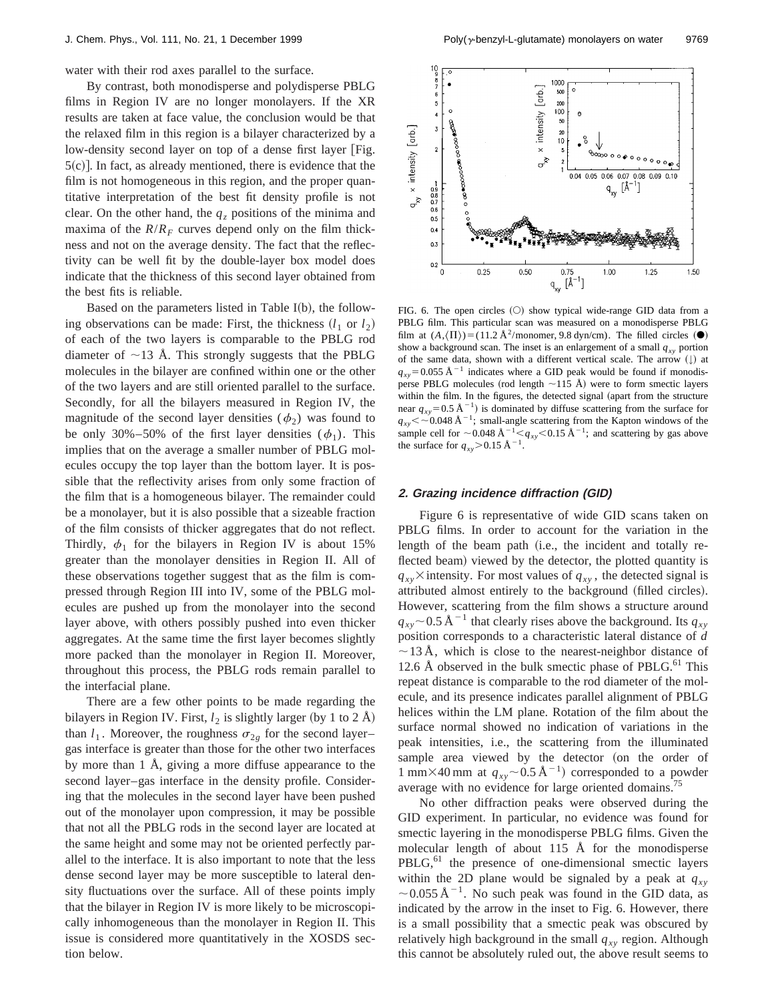water with their rod axes parallel to the surface.

By contrast, both monodisperse and polydisperse PBLG films in Region IV are no longer monolayers. If the XR results are taken at face value, the conclusion would be that the relaxed film in this region is a bilayer characterized by a low-density second layer on top of a dense first layer [Fig.  $5(c)$ ]. In fact, as already mentioned, there is evidence that the film is not homogeneous in this region, and the proper quantitative interpretation of the best fit density profile is not clear. On the other hand, the  $q_z$  positions of the minima and maxima of the  $R/R_F$  curves depend only on the film thickness and not on the average density. The fact that the reflectivity can be well fit by the double-layer box model does indicate that the thickness of this second layer obtained from the best fits is reliable.

Based on the parameters listed in Table  $I(b)$ , the following observations can be made: First, the thickness  $(l_1 \text{ or } l_2)$ of each of the two layers is comparable to the PBLG rod diameter of  $\sim$ 13 Å. This strongly suggests that the PBLG molecules in the bilayer are confined within one or the other of the two layers and are still oriented parallel to the surface. Secondly, for all the bilayers measured in Region IV, the magnitude of the second layer densities  $(\phi_2)$  was found to be only 30%–50% of the first layer densities  $(\phi_1)$ . This implies that on the average a smaller number of PBLG molecules occupy the top layer than the bottom layer. It is possible that the reflectivity arises from only some fraction of the film that is a homogeneous bilayer. The remainder could be a monolayer, but it is also possible that a sizeable fraction of the film consists of thicker aggregates that do not reflect. Thirdly,  $\phi_1$  for the bilayers in Region IV is about 15% greater than the monolayer densities in Region II. All of these observations together suggest that as the film is compressed through Region III into IV, some of the PBLG molecules are pushed up from the monolayer into the second layer above, with others possibly pushed into even thicker aggregates. At the same time the first layer becomes slightly more packed than the monolayer in Region II. Moreover, throughout this process, the PBLG rods remain parallel to the interfacial plane.

There are a few other points to be made regarding the bilayers in Region IV. First,  $l_2$  is slightly larger (by 1 to 2 Å) than  $l_1$ . Moreover, the roughness  $\sigma_{2g}$  for the second layer– gas interface is greater than those for the other two interfaces by more than 1 Å, giving a more diffuse appearance to the second layer–gas interface in the density profile. Considering that the molecules in the second layer have been pushed out of the monolayer upon compression, it may be possible that not all the PBLG rods in the second layer are located at the same height and some may not be oriented perfectly parallel to the interface. It is also important to note that the less dense second layer may be more susceptible to lateral density fluctuations over the surface. All of these points imply that the bilayer in Region IV is more likely to be microscopically inhomogeneous than the monolayer in Region II. This issue is considered more quantitatively in the XOSDS section below.



FIG. 6. The open circles  $(O)$  show typical wide-range GID data from a PBLG film. This particular scan was measured on a monodisperse PBLG film at  $(A,\langle\Pi\rangle)$ =(11.2 Å<sup>2</sup>/monomer, 9.8 dyn/cm). The filled circles  $(\bullet)$ show a background scan. The inset is an enlargement of a small  $q_{xy}$  portion of the same data, shown with a different vertical scale. The arrow  $(\downarrow)$  at  $q_{xy}$ =0.055 Å<sup>-1</sup> indicates where a GID peak would be found if monodisperse PBLG molecules (rod length  $\sim$ 115 Å) were to form smectic layers within the film. In the figures, the detected signal (apart from the structure near  $q_{xy}$ =0.5 Å<sup>-1</sup>) is dominated by diffuse scattering from the surface for  $q_{xy}$ < ~0.048 Å<sup>-1</sup>; small-angle scattering from the Kapton windows of the sample cell for  $\sim$  0.048 Å<sup>-1</sup> $\leq$ <sub>*xy*</sub> $\lt$  0.15 Å<sup>-1</sup>; and scattering by gas above the surface for  $q_{xy}$ >0.15 Å<sup>-1</sup>.

## **2. Grazing incidence diffraction (GID)**

Figure 6 is representative of wide GID scans taken on PBLG films. In order to account for the variation in the length of the beam path (i.e., the incident and totally reflected beam) viewed by the detector, the plotted quantity is  $q_{xy}$ <sup> $\times$ </sup> intensity. For most values of  $q_{xy}$ , the detected signal is attributed almost entirely to the background (filled circles). However, scattering from the film shows a structure around  $q_{xy}$  ~ 0.5 Å<sup>-1</sup> that clearly rises above the background. Its  $q_{xy}$ position corresponds to a characteristic lateral distance of *d*  $\sim$ 13 Å, which is close to the nearest-neighbor distance of 12.6 Å observed in the bulk smectic phase of PBLG. $^{61}$  This repeat distance is comparable to the rod diameter of the molecule, and its presence indicates parallel alignment of PBLG helices within the LM plane. Rotation of the film about the surface normal showed no indication of variations in the peak intensities, i.e., the scattering from the illuminated sample area viewed by the detector (on the order of 1 mm×40 mm at  $q_{xy}$ ~0.5 Å<sup>-1</sup>) corresponded to a powder average with no evidence for large oriented domains.<sup>75</sup>

No other diffraction peaks were observed during the GID experiment. In particular, no evidence was found for smectic layering in the monodisperse PBLG films. Given the molecular length of about 115 Å for the monodisperse  $PBLG<sub>0</sub><sup>61</sup>$  the presence of one-dimensional smectic layers within the 2D plane would be signaled by a peak at  $q_{xy}$  $\sim$  0.055 Å<sup>-1</sup>. No such peak was found in the GID data, as indicated by the arrow in the inset to Fig. 6. However, there is a small possibility that a smectic peak was obscured by relatively high background in the small  $q_{xy}$  region. Although this cannot be absolutely ruled out, the above result seems to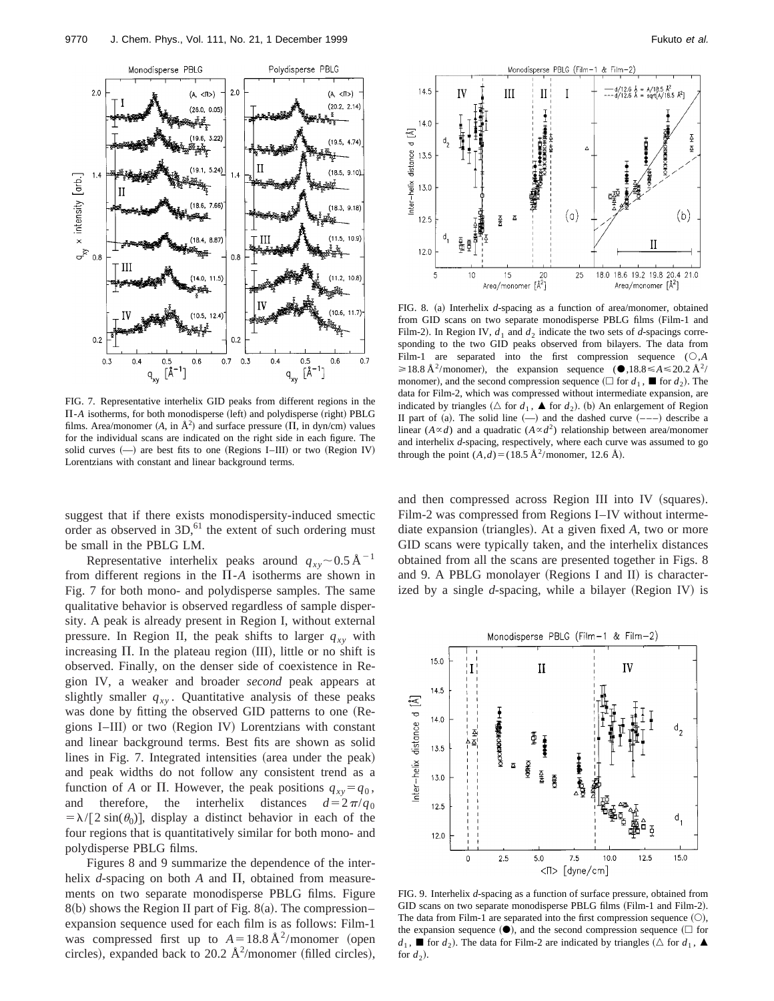

FIG. 7. Representative interhelix GID peaks from different regions in the  $\Pi$ -*A* isotherms, for both monodisperse (left) and polydisperse (right) PBLG films. Area/monomer  $(A, \text{ in } \mathring{A}^2)$  and surface pressure  $(\Pi, \text{ in } \text{dyn/cm})$  values for the individual scans are indicated on the right side in each figure. The solid curves  $(-)$  are best fits to one (Regions I–III) or two (Region IV) Lorentzians with constant and linear background terms.

suggest that if there exists monodispersity-induced smectic order as observed in  $3D<sub>1</sub><sup>61</sup>$  the extent of such ordering must be small in the PBLG LM.

Representative interhelix peaks around  $q_{xy}$  ~ 0.5 Å<sup>-1</sup> from different regions in the  $\Pi$ - $A$  isotherms are shown in Fig. 7 for both mono- and polydisperse samples. The same qualitative behavior is observed regardless of sample dispersity. A peak is already present in Region I, without external pressure. In Region II, the peak shifts to larger  $q_{xy}$  with increasing  $\Pi$ . In the plateau region  $(III)$ , little or no shift is observed. Finally, on the denser side of coexistence in Region IV, a weaker and broader *second* peak appears at slightly smaller  $q_{xy}$ . Quantitative analysis of these peaks was done by fitting the observed GID patterns to one (Regions I–III) or two (Region IV) Lorentzians with constant and linear background terms. Best fits are shown as solid lines in Fig. 7. Integrated intensities (area under the peak) and peak widths do not follow any consistent trend as a function of *A* or  $\Pi$ . However, the peak positions  $q_{xy} = q_0$ , and therefore, the interhelix distances  $d=2\pi/q_0$  $= \lambda / [2 \sin(\theta_0)]$ , display a distinct behavior in each of the four regions that is quantitatively similar for both mono- and polydisperse PBLG films.

Figures 8 and 9 summarize the dependence of the interhelix  $d$ -spacing on both  $A$  and  $\Pi$ , obtained from measurements on two separate monodisperse PBLG films. Figure  $8(b)$  shows the Region II part of Fig.  $8(a)$ . The compression– expansion sequence used for each film is as follows: Film-1 was compressed first up to  $A=18.8 \text{ Å}^2/\text{monomer}$  (open circles), expanded back to 20.2  $\AA^2$ /monomer (filled circles),



FIG. 8. (a) Interhelix *d*-spacing as a function of area/monomer, obtained from GID scans on two separate monodisperse PBLG films (Film-1 and Film-2). In Region IV,  $d_1$  and  $d_2$  indicate the two sets of *d*-spacings corresponding to the two GID peaks observed from bilayers. The data from Film-1 are separated into the first compression sequence  $( \bigcirc, A)$  $\geq 18.8 \text{ Å}^2/\text{monomer}$ , the expansion sequence ( $\bullet$ ,18.8  $\leq A \leq 20.2 \text{ Å}^2/\text{SO}$ monomer), and the second compression sequence ( $\Box$  for *d*<sub>1</sub>,  $\blacksquare$  for *d*<sub>2</sub>). The data for Film-2, which was compressed without intermediate expansion, are indicated by triangles ( $\triangle$  for  $d_1$ ,  $\triangle$  for  $d_2$ ). (b) An enlargement of Region II part of (a). The solid line  $(-)$  and the dashed curve  $(--)$  describe a linear  $(A \propto d)$  and a quadratic  $(A \propto d^2)$  relationship between area/monomer and interhelix *d*-spacing, respectively, where each curve was assumed to go through the point  $(A,d) = (18.5 \text{ Å}^2/\text{monomer}, 12.6 \text{ Å}).$ 

and then compressed across Region III into IV (squares). Film-2 was compressed from Regions I–IV without intermediate expansion (triangles). At a given fixed A, two or more GID scans were typically taken, and the interhelix distances obtained from all the scans are presented together in Figs. 8 and 9. A PBLG monolayer (Regions I and II) is characterized by a single *d*-spacing, while a bilayer (Region IV) is



FIG. 9. Interhelix *d*-spacing as a function of surface pressure, obtained from GID scans on two separate monodisperse PBLG films (Film-1 and Film-2). The data from Film-1 are separated into the first compression sequence  $(O)$ , the expansion sequence  $(①)$ , and the second compression sequence  $(①$  for  $d_1$ , **If** for  $d_2$ ). The data for Film-2 are indicated by triangles ( $\triangle$  for  $d_1$ ,  $\triangle$ for  $d_2$ ).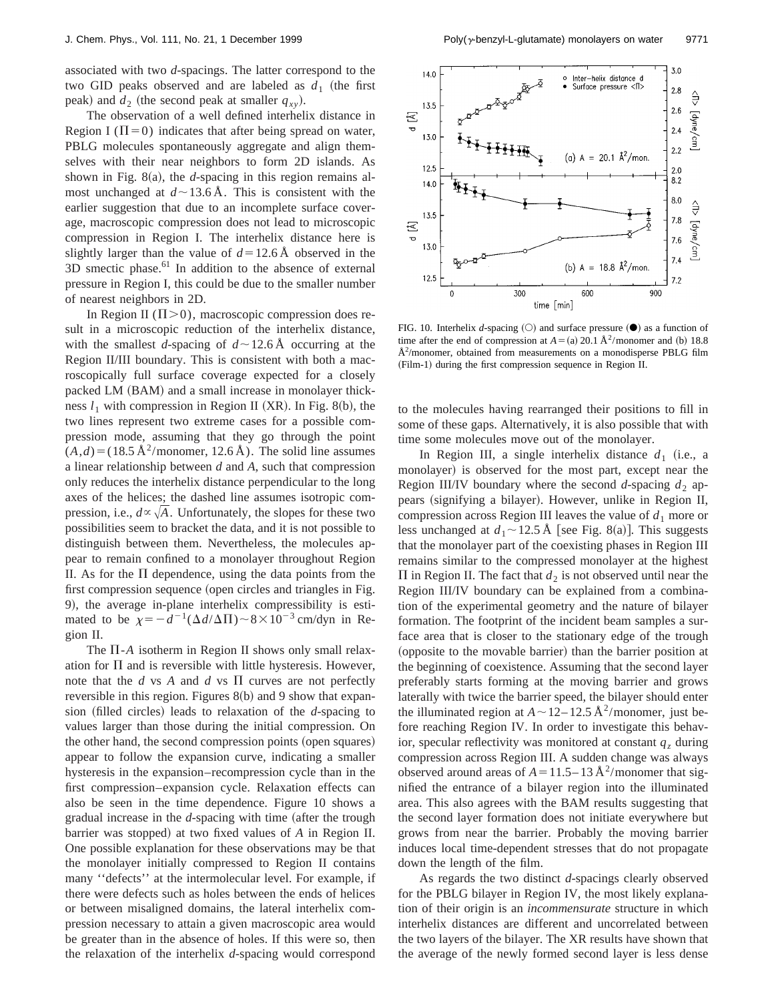associated with two *d*-spacings. The latter correspond to the two GID peaks observed and are labeled as  $d_1$  (the first peak) and  $d_2$  (the second peak at smaller  $q_{xy}$ ).

The observation of a well defined interhelix distance in Region I ( $\Pi$ =0) indicates that after being spread on water, PBLG molecules spontaneously aggregate and align themselves with their near neighbors to form 2D islands. As shown in Fig.  $8(a)$ , the *d*-spacing in this region remains almost unchanged at  $d \sim 13.6$  Å. This is consistent with the earlier suggestion that due to an incomplete surface coverage, macroscopic compression does not lead to microscopic compression in Region I. The interhelix distance here is slightly larger than the value of  $d=12.6 \text{ Å}$  observed in the  $3D$  smectic phase.<sup>61</sup> In addition to the absence of external pressure in Region I, this could be due to the smaller number of nearest neighbors in 2D.

In Region II ( $\Pi$ >0), macroscopic compression does result in a microscopic reduction of the interhelix distance, with the smallest *d*-spacing of  $d \sim 12.6$  Å occurring at the Region II/III boundary. This is consistent with both a macroscopically full surface coverage expected for a closely packed LM (BAM) and a small increase in monolayer thickness  $l_1$  with compression in Region II (XR). In Fig. 8(b), the two lines represent two extreme cases for a possible compression mode, assuming that they go through the point  $(A,d) = (18.5 \text{ Å}^2/\text{monomer}, 12.6 \text{ Å})$ . The solid line assumes a linear relationship between *d* and *A*, such that compression only reduces the interhelix distance perpendicular to the long axes of the helices; the dashed line assumes isotropic compression, i.e.,  $d \propto \sqrt{A}$ . Unfortunately, the slopes for these two possibilities seem to bracket the data, and it is not possible to distinguish between them. Nevertheless, the molecules appear to remain confined to a monolayer throughout Region II. As for the  $\Pi$  dependence, using the data points from the first compression sequence (open circles and triangles in Fig. 9), the average in-plane interhelix compressibility is estimated to be  $\chi = -d^{-1}(\Delta d/\Delta\Pi) \sim 8 \times 10^{-3}$  cm/dyn in Region II.

The  $\Pi$ -*A* isotherm in Region II shows only small relaxation for  $\Pi$  and is reversible with little hysteresis. However, note that the  $d$  vs  $A$  and  $d$  vs  $\Pi$  curves are not perfectly reversible in this region. Figures  $8(b)$  and 9 show that expansion (filled circles) leads to relaxation of the *d*-spacing to values larger than those during the initial compression. On the other hand, the second compression points (open squares) appear to follow the expansion curve, indicating a smaller hysteresis in the expansion–recompression cycle than in the first compression–expansion cycle. Relaxation effects can also be seen in the time dependence. Figure 10 shows a gradual increase in the *d*-spacing with time (after the trough barrier was stopped) at two fixed values of *A* in Region II. One possible explanation for these observations may be that the monolayer initially compressed to Region II contains many ''defects'' at the intermolecular level. For example, if there were defects such as holes between the ends of helices or between misaligned domains, the lateral interhelix compression necessary to attain a given macroscopic area would be greater than in the absence of holes. If this were so, then the relaxation of the interhelix *d*-spacing would correspond



FIG. 10. Interhelix *d*-spacing  $(O)$  and surface pressure  $(O)$  as a function of time after the end of compression at  $A = (a) 20.1 \text{ Å}^2/\text{monomer}$  and (b) 18.8  $\AA^2$ /monomer, obtained from measurements on a monodisperse PBLG film (Film-1) during the first compression sequence in Region II.

to the molecules having rearranged their positions to fill in some of these gaps. Alternatively, it is also possible that with time some molecules move out of the monolayer.

In Region III, a single interhelix distance  $d_1$  (i.e., a monolayer) is observed for the most part, except near the Region III/IV boundary where the second  $d$ -spacing  $d_2$  appears (signifying a bilayer). However, unlike in Region II, compression across Region III leaves the value of  $d_1$  more or less unchanged at  $d_1 \sim 12.5$  Å [see Fig. 8(a)]. This suggests that the monolayer part of the coexisting phases in Region III remains similar to the compressed monolayer at the highest  $\Pi$  in Region II. The fact that  $d_2$  is not observed until near the Region III/IV boundary can be explained from a combination of the experimental geometry and the nature of bilayer formation. The footprint of the incident beam samples a surface area that is closer to the stationary edge of the trough (opposite to the movable barrier) than the barrier position at the beginning of coexistence. Assuming that the second layer preferably starts forming at the moving barrier and grows laterally with twice the barrier speed, the bilayer should enter the illuminated region at  $A \sim 12-12.5 \text{ Å}^2/\text{monomer}$ , just before reaching Region IV. In order to investigate this behavior, specular reflectivity was monitored at constant  $q<sub>z</sub>$  during compression across Region III. A sudden change was always observed around areas of  $A = 11.5 - 13 \text{ Å}^2$ /monomer that signified the entrance of a bilayer region into the illuminated area. This also agrees with the BAM results suggesting that the second layer formation does not initiate everywhere but grows from near the barrier. Probably the moving barrier induces local time-dependent stresses that do not propagate down the length of the film.

As regards the two distinct *d*-spacings clearly observed for the PBLG bilayer in Region IV, the most likely explanation of their origin is an *incommensurate* structure in which interhelix distances are different and uncorrelated between the two layers of the bilayer. The XR results have shown that the average of the newly formed second layer is less dense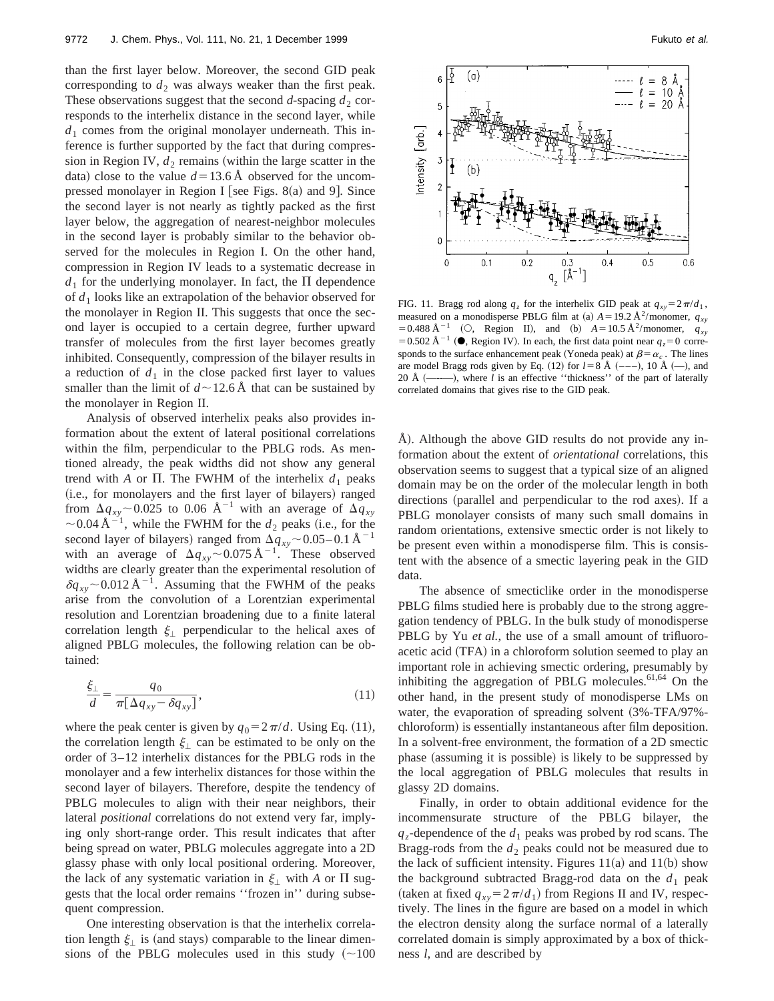than the first layer below. Moreover, the second GID peak corresponding to  $d_2$  was always weaker than the first peak. These observations suggest that the second  $d$ -spacing  $d_2$  corresponds to the interhelix distance in the second layer, while  $d_1$  comes from the original monolayer underneath. This inference is further supported by the fact that during compression in Region IV,  $d_2$  remains (within the large scatter in the data) close to the value  $d=13.6$  Å observed for the uncompressed monolayer in Region I [see Figs. 8 $(a)$  and 9]. Since the second layer is not nearly as tightly packed as the first layer below, the aggregation of nearest-neighbor molecules in the second layer is probably similar to the behavior observed for the molecules in Region I. On the other hand, compression in Region IV leads to a systematic decrease in  $d_1$  for the underlying monolayer. In fact, the  $\Pi$  dependence of *d*<sup>1</sup> looks like an extrapolation of the behavior observed for the monolayer in Region II. This suggests that once the second layer is occupied to a certain degree, further upward transfer of molecules from the first layer becomes greatly inhibited. Consequently, compression of the bilayer results in a reduction of  $d_1$  in the close packed first layer to values smaller than the limit of  $d \sim 12.6 \text{ Å}$  that can be sustained by the monolayer in Region II.

Analysis of observed interhelix peaks also provides information about the extent of lateral positional correlations within the film, perpendicular to the PBLG rods. As mentioned already, the peak widths did not show any general trend with *A* or  $\Pi$ . The FWHM of the interhelix  $d_1$  peaks (i.e., for monolayers and the first layer of bilayers) ranged from  $\Delta q_{xy}$  ~ 0.025 to 0.06 Å<sup>-1</sup> with an average of  $\Delta q_{xy}$  $\sim$  0.04 Å<sup>-1</sup>, while the FWHM for the  $d_2$  peaks (i.e., for the second layer of bilayers) ranged from  $\Delta q_{xy}$  ~ 0.05–0.1 Å<sup>-1</sup> with an average of  $\Delta q_{xy}$  ~ 0.075 Å<sup>-1</sup>. These observed widths are clearly greater than the experimental resolution of  $\delta q_{xy}$  ~ 0.012 Å<sup>-1</sup>. Assuming that the FWHM of the peaks arise from the convolution of a Lorentzian experimental resolution and Lorentzian broadening due to a finite lateral correlation length  $\xi_1$  perpendicular to the helical axes of aligned PBLG molecules, the following relation can be obtained:

$$
\frac{\xi_{\perp}}{d} = \frac{q_0}{\pi [\Delta q_{xy} - \delta q_{xy}]},\tag{11}
$$

where the peak center is given by  $q_0 = 2\pi/d$ . Using Eq. (11), the correlation length  $\xi_{\perp}$  can be estimated to be only on the order of 3–12 interhelix distances for the PBLG rods in the monolayer and a few interhelix distances for those within the second layer of bilayers. Therefore, despite the tendency of PBLG molecules to align with their near neighbors, their lateral *positional* correlations do not extend very far, implying only short-range order. This result indicates that after being spread on water, PBLG molecules aggregate into a 2D glassy phase with only local positional ordering. Moreover, the lack of any systematic variation in  $\xi_{\perp}$  with *A* or  $\Pi$  suggests that the local order remains ''frozen in'' during subsequent compression.

One interesting observation is that the interhelix correlation length  $\xi_{\perp}$  is (and stays) comparable to the linear dimensions of the PBLG molecules used in this study  $(\sim 100$ 



FIG. 11. Bragg rod along  $q_z$  for the interhelix GID peak at  $q_{xy} = 2\pi/d_1$ , measured on a monodisperse PBLG film at (a)  $A = 19.2 \text{ Å}^2/\text{monomer}, q_{xy}$  $= 0.488 \text{ Å}^{-1}$  (O, Region II), and (b)  $A = 10.5 \text{ Å}^2/\text{monomer}$ ,  $q_{xy}$ = 0.502 Å<sup>-1</sup> ( $\bullet$ , Region IV). In each, the first data point near  $q_z$ =0 corresponds to the surface enhancement peak (Yoneda peak) at  $\beta = \alpha_c$ . The lines are model Bragg rods given by Eq. (12) for  $l=8$  Å  $(-,-)$ , 10 Å  $(-)$ , and 20 Å (-----------------), where *l* is an effective "thickness" of the part of laterally correlated domains that gives rise to the GID peak.

A). Although the above GID results do not provide any information about the extent of *orientational* correlations, this observation seems to suggest that a typical size of an aligned domain may be on the order of the molecular length in both directions (parallel and perpendicular to the rod axes). If a PBLG monolayer consists of many such small domains in random orientations, extensive smectic order is not likely to be present even within a monodisperse film. This is consistent with the absence of a smectic layering peak in the GID data.

The absence of smecticlike order in the monodisperse PBLG films studied here is probably due to the strong aggregation tendency of PBLG. In the bulk study of monodisperse PBLG by Yu *et al.*, the use of a small amount of trifluoroacetic acid (TFA) in a chloroform solution seemed to play an important role in achieving smectic ordering, presumably by inhibiting the aggregation of PBLG molecules. $61,64$  On the other hand, in the present study of monodisperse LMs on water, the evaporation of spreading solvent  $(3\% - TFA/97\%)$ chloroform) is essentially instantaneous after film deposition. In a solvent-free environment, the formation of a 2D smectic phase (assuming it is possible) is likely to be suppressed by the local aggregation of PBLG molecules that results in glassy 2D domains.

Finally, in order to obtain additional evidence for the incommensurate structure of the PBLG bilayer, the  $q_z$ -dependence of the  $d_1$  peaks was probed by rod scans. The Bragg-rods from the  $d_2$  peaks could not be measured due to the lack of sufficient intensity. Figures  $11(a)$  and  $11(b)$  show the background subtracted Bragg-rod data on the  $d_1$  peak (taken at fixed  $q_{xy} = 2\pi/d_1$ ) from Regions II and IV, respectively. The lines in the figure are based on a model in which the electron density along the surface normal of a laterally correlated domain is simply approximated by a box of thickness *l*, and are described by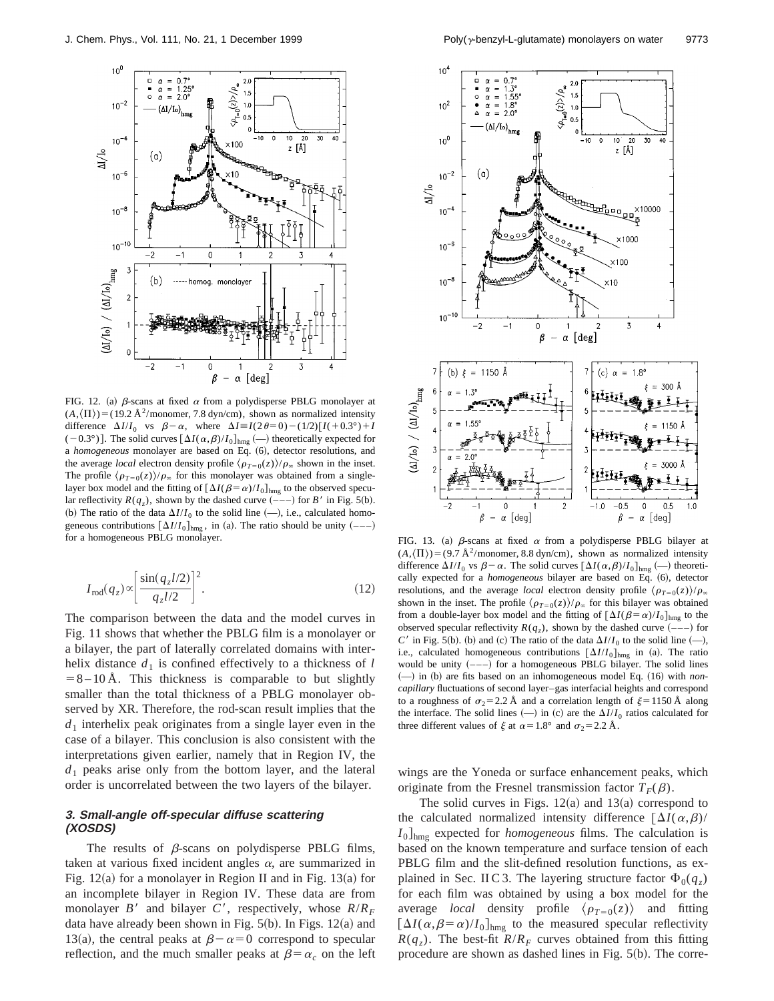

FIG. 12. (a)  $\beta$ -scans at fixed  $\alpha$  from a polydisperse PBLG monolayer at  $(A,\langle\Pi\rangle)$ =(19.2 Å<sup>2</sup>/monomer, 7.8 dyn/cm), shown as normalized intensity difference  $\Delta I/I_0$  vs  $\beta-\alpha$ , where  $\Delta I \equiv I(2\theta=0)-(1/2)[I(+0.3^\circ)+I]$  $(-0.3^{\circ})$ . The solid curves  $[\Delta I(\alpha,\beta)/I_0]_{\text{hmg}}$   $(-)$  theoretically expected for a *homogeneous* monolayer are based on Eq. (6), detector resolutions, and the average *local* electron density profile  $\langle \rho_{T=0}(z) \rangle / \rho_{\infty}$  shown in the inset. The profile  $\langle \rho_{T=0}(z) \rangle / \rho_{\infty}$  for this monolayer was obtained from a singlelayer box model and the fitting of  $[\Delta I(\beta=\alpha)/I_0]_{\text{hmg}}$  to the observed specular reflectivity  $R(q_z)$ , shown by the dashed curve  $\left(\frac{-}{-}\right)$  for *B'* in Fig. 5(b). (b) The ratio of the data  $\Delta I/I_0$  to the solid line (-), i.e., calculated homogeneous contributions  $[\Delta I/I_0]_{\text{hmg}}$ , in (a). The ratio should be unity  $(---)$  for a homogeneous PBLG monolayer.

$$
I_{\rm rod}(q_z) \propto \left[ \frac{\sin(q_z l/2)}{q_z l/2} \right]^2.
$$
 (12)

The comparison between the data and the model curves in Fig. 11 shows that whether the PBLG film is a monolayer or a bilayer, the part of laterally correlated domains with interhelix distance  $d_1$  is confined effectively to a thickness of  $l$  $= 8 - 10$  Å. This thickness is comparable to but slightly smaller than the total thickness of a PBLG monolayer observed by XR. Therefore, the rod-scan result implies that the  $d_1$  interhelix peak originates from a single layer even in the case of a bilayer. This conclusion is also consistent with the interpretations given earlier, namely that in Region IV, the  $d_1$  peaks arise only from the bottom layer, and the lateral order is uncorrelated between the two layers of the bilayer.

# **3. Small-angle off-specular diffuse scattering (XOSDS)**

The results of  $\beta$ -scans on polydisperse PBLG films, taken at various fixed incident angles  $\alpha$ , are summarized in Fig.  $12(a)$  for a monolayer in Region II and in Fig.  $13(a)$  for an incomplete bilayer in Region IV. These data are from monolayer *B'* and bilayer *C'*, respectively, whose  $R/R_F$ data have already been shown in Fig.  $5(b)$ . In Figs. 12(a) and 13(a), the central peaks at  $\beta-\alpha=0$  correspond to specular reflection, and the much smaller peaks at  $\beta = \alpha_c$  on the left



FIG. 13. (a)  $\beta$ -scans at fixed  $\alpha$  from a polydisperse PBLG bilayer at  $(A,\langle\Pi\rangle)$ =(9.7 Å<sup>2</sup>/monomer, 8.8 dyn/cm), shown as normalized intensity difference  $\Delta I/I_0$  vs  $\beta-\alpha$ . The solid curves  $[\Delta I(\alpha,\beta)/I_0]_{\text{hmg}}$  (-) theoretically expected for a *homogeneous* bilayer are based on Eq. (6), detector resolutions, and the average *local* electron density profile  $\langle \rho_{T=0}(z) \rangle / \rho_{\infty}$ shown in the inset. The profile  $\langle \rho_{T=0}(z) \rangle / \rho_{\infty}$  for this bilayer was obtained from a double-layer box model and the fitting of  $[\Delta I(\beta=\alpha)/I_0]_{\text{hmg}}$  to the observed specular reflectivity  $R(q_z)$ , shown by the dashed curve  $(--)$  for *C*' in Fig. 5(b). (b) and (c) The ratio of the data  $\Delta I/I_0$  to the solid line  $(-)$ , i.e., calculated homogeneous contributions  $[\Delta I/I_0]_{\text{hmg}}$  in (a). The ratio would be unity  $(---)$  for a homogeneous PBLG bilayer. The solid lines (-) in (b) are fits based on an inhomogeneous model Eq. (16) with *noncapillary* fluctuations of second layer–gas interfacial heights and correspond to a roughness of  $\sigma_2=2.2 \text{ Å}$  and a correlation length of  $\xi=1150 \text{ Å}$  along the interface. The solid lines  $(-)$  in  $(c)$  are the  $\Delta I/I_0$  ratios calculated for three different values of  $\xi$  at  $\alpha=1.8^\circ$  and  $\sigma_2=2.2$  Å.

wings are the Yoneda or surface enhancement peaks, which originate from the Fresnel transmission factor  $T_F(\beta)$ .

The solid curves in Figs.  $12(a)$  and  $13(a)$  correspond to the calculated normalized intensity difference  $[\Delta I(\alpha,\beta)/]$  $I_0$ <sub>lnmg</sub> expected for *homogeneous* films. The calculation is based on the known temperature and surface tension of each PBLG film and the slit-defined resolution functions, as explained in Sec. II C 3. The layering structure factor  $\Phi_0(q_z)$ for each film was obtained by using a box model for the average *local* density profile  $\langle \rho_{T=0}(z) \rangle$  and fitting  $[\Delta I(\alpha,\beta=\alpha)/I_0]_{\text{hmg}}$  to the measured specular reflectivity  $R(q_z)$ . The best-fit  $R/R_F$  curves obtained from this fitting procedure are shown as dashed lines in Fig.  $5(b)$ . The corre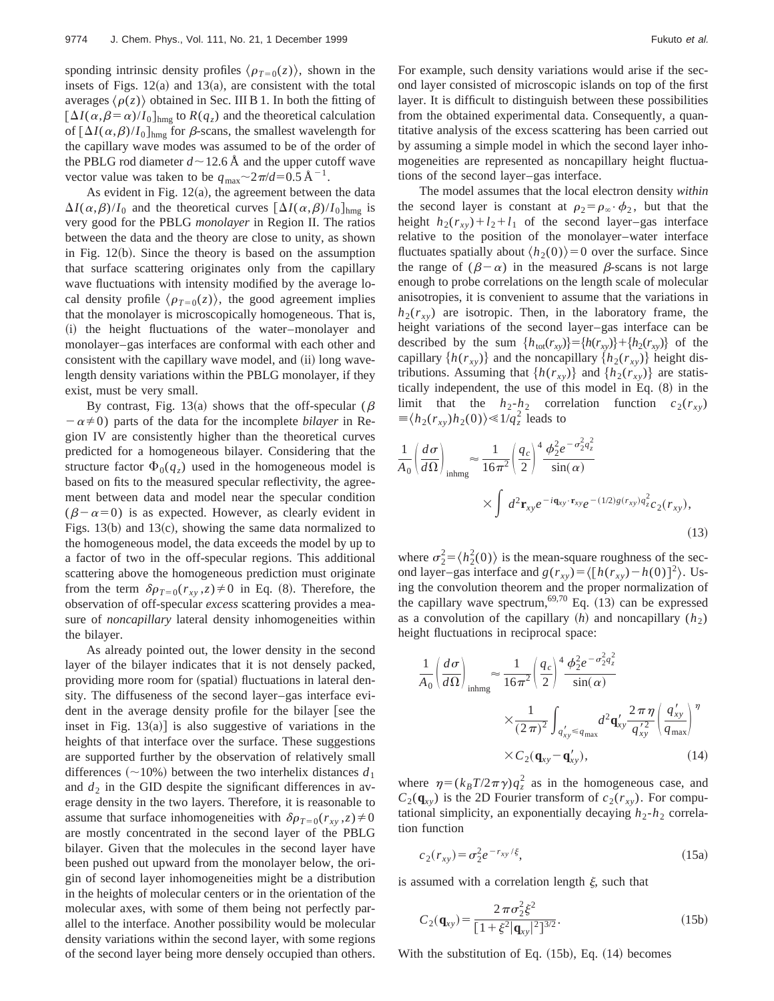sponding intrinsic density profiles  $\langle \rho_{T=0}(z) \rangle$ , shown in the insets of Figs.  $12(a)$  and  $13(a)$ , are consistent with the total averages  $\langle \rho(z) \rangle$  obtained in Sec. III B 1. In both the fitting of  $[\Delta I(\alpha,\beta=\alpha)/I_0]_{\text{hmg}}$  to  $R(q_z)$  and the theoretical calculation of  $\left[\Delta I(\alpha,\beta)/I_0\right]_{\text{hmg}}$  for  $\beta$ -scans, the smallest wavelength for the capillary wave modes was assumed to be of the order of the PBLG rod diameter  $d \sim 12.6$  Å and the upper cutoff wave vector value was taken to be  $q_{\text{max}} \sim 2\pi/d = 0.5 \text{ Å}^{-1}$ .

As evident in Fig.  $12(a)$ , the agreement between the data  $\Delta I(\alpha,\beta)/I_0$  and the theoretical curves  $[\Delta I(\alpha,\beta)/I_0]_{\text{hmg}}$  is very good for the PBLG *monolayer* in Region II. The ratios between the data and the theory are close to unity, as shown in Fig.  $12(b)$ . Since the theory is based on the assumption that surface scattering originates only from the capillary wave fluctuations with intensity modified by the average local density profile  $\langle \rho_{T=0}(z) \rangle$ , the good agreement implies that the monolayer is microscopically homogeneous. That is, (i) the height fluctuations of the water–monolayer and monolayer–gas interfaces are conformal with each other and consistent with the capillary wave model, and (ii) long wavelength density variations within the PBLG monolayer, if they exist, must be very small.

By contrast, Fig. 13(a) shows that the off-specular ( $\beta$  $-\alpha \neq 0$ ) parts of the data for the incomplete *bilayer* in Region IV are consistently higher than the theoretical curves predicted for a homogeneous bilayer. Considering that the structure factor  $\Phi_0(q_z)$  used in the homogeneous model is based on fits to the measured specular reflectivity, the agreement between data and model near the specular condition  $(\beta-\alpha=0)$  is as expected. However, as clearly evident in Figs.  $13(b)$  and  $13(c)$ , showing the same data normalized to the homogeneous model, the data exceeds the model by up to a factor of two in the off-specular regions. This additional scattering above the homogeneous prediction must originate from the term  $\delta \rho_{T=0}(r_{xy}, z) \neq 0$  in Eq. (8). Therefore, the observation of off-specular *excess* scattering provides a measure of *noncapillary* lateral density inhomogeneities within the bilayer.

As already pointed out, the lower density in the second layer of the bilayer indicates that it is not densely packed, providing more room for (spatial) fluctuations in lateral density. The diffuseness of the second layer–gas interface evident in the average density profile for the bilayer [see the inset in Fig.  $13(a)$ ] is also suggestive of variations in the heights of that interface over the surface. These suggestions are supported further by the observation of relatively small differences  $(\sim 10\%)$  between the two interhelix distances  $d_1$ and  $d_2$  in the GID despite the significant differences in average density in the two layers. Therefore, it is reasonable to assume that surface inhomogeneities with  $\delta \rho_{T=0}(r_{xy}, z) \neq 0$ are mostly concentrated in the second layer of the PBLG bilayer. Given that the molecules in the second layer have been pushed out upward from the monolayer below, the origin of second layer inhomogeneities might be a distribution in the heights of molecular centers or in the orientation of the molecular axes, with some of them being not perfectly parallel to the interface. Another possibility would be molecular density variations within the second layer, with some regions of the second layer being more densely occupied than others. For example, such density variations would arise if the second layer consisted of microscopic islands on top of the first layer. It is difficult to distinguish between these possibilities from the obtained experimental data. Consequently, a quantitative analysis of the excess scattering has been carried out by assuming a simple model in which the second layer inhomogeneities are represented as noncapillary height fluctuations of the second layer–gas interface.

The model assumes that the local electron density *within* the second layer is constant at  $\rho_2 = \rho_\infty \cdot \phi_2$ , but that the height  $h_2(r_{xy})+l_2+l_1$  of the second layer–gas interface relative to the position of the monolayer–water interface fluctuates spatially about  $\langle h_2(0)\rangle=0$  over the surface. Since the range of  $(\beta - \alpha)$  in the measured  $\beta$ -scans is not large enough to probe correlations on the length scale of molecular anisotropies, it is convenient to assume that the variations in  $h_2(r_{xy})$  are isotropic. Then, in the laboratory frame, the height variations of the second layer–gas interface can be described by the sum  $\{h_{tot}(r_{xy})\} = \{h(r_{xy})\} + \{h_2(r_{xy})\}$  of the capillary  $\{h(r_{xy})\}$  and the noncapillary  $\{h_2(r_{xy})\}$  height distributions. Assuming that  $\{h(r_{xy})\}$  and  $\{h_2(r_{xy})\}$  are statistically independent, the use of this model in Eq.  $(8)$  in the limit that the  $h_2-h_2$  correlation function  $c_2(r_{xy})$  $\equiv \langle h_2(r_{xy})h_2(0)\rangle \ll 1/q_z^2$  leads to

$$
\frac{1}{A_0} \left( \frac{d\sigma}{d\Omega} \right)_{\text{inhmg}} \approx \frac{1}{16\pi^2} \left( \frac{q_c}{2} \right)^4 \frac{\phi_2^2 e^{-\sigma_2^2 q_z^2}}{\sin(\alpha)}
$$
\n
$$
\times \int d^2 \mathbf{r}_{xy} e^{-i\mathbf{q}_{xy} \cdot \mathbf{r}_{xy}} e^{-(1/2)g(r_{xy}) q_z^2} c_2(r_{xy}),
$$
\n(13)

where  $\sigma_2^2 = \langle h_2^2(0) \rangle$  is the mean-square roughness of the second layer–gas interface and  $g(r_{xy}) = \langle [h(r_{xy}) - h(0)]^2 \rangle$ . Using the convolution theorem and the proper normalization of the capillary wave spectrum,  $69,70$  Eq. (13) can be expressed as a convolution of the capillary  $(h)$  and noncapillary  $(h_2)$ height fluctuations in reciprocal space:

$$
\frac{1}{A_0} \left( \frac{d\sigma}{d\Omega} \right)_{\text{inhmg}} \approx \frac{1}{16\pi^2} \left( \frac{q_c}{2} \right)^4 \frac{\phi_2^2 e^{-\sigma_2^2 q_z^2}}{\sin(\alpha)}
$$
\n
$$
\times \frac{1}{(2\pi)^2} \int_{q_{xy}'} d^2 \mathbf{q}_{xy}' \frac{2\pi \eta}{q_{xy}^{'2}} \left( \frac{q_{xy}'}{q_{\text{max}}} \right)^{\eta}
$$
\n
$$
\times C_2(\mathbf{q}_{xy} - \mathbf{q}_{xy}'), \tag{14}
$$

where  $\eta = (k_B T/2\pi \gamma)q_z^2$  as in the homogeneous case, and  $C_2(\mathbf{q}_{xy})$  is the 2D Fourier transform of  $c_2(r_{xy})$ . For computational simplicity, an exponentially decaying  $h_2-h_2$  correlation function

$$
c_2(r_{xy}) = \sigma_2^2 e^{-r_{xy}/\xi}, \tag{15a}
$$

is assumed with a correlation length  $\xi$ , such that

$$
C_2(\mathbf{q}_{xy}) = \frac{2\,\pi\sigma_2^2 \xi^2}{\left[1 + \xi^2 |\mathbf{q}_{xy}|^2\right]^{3/2}}.
$$
 (15b)

With the substitution of Eq.  $(15b)$ , Eq.  $(14)$  becomes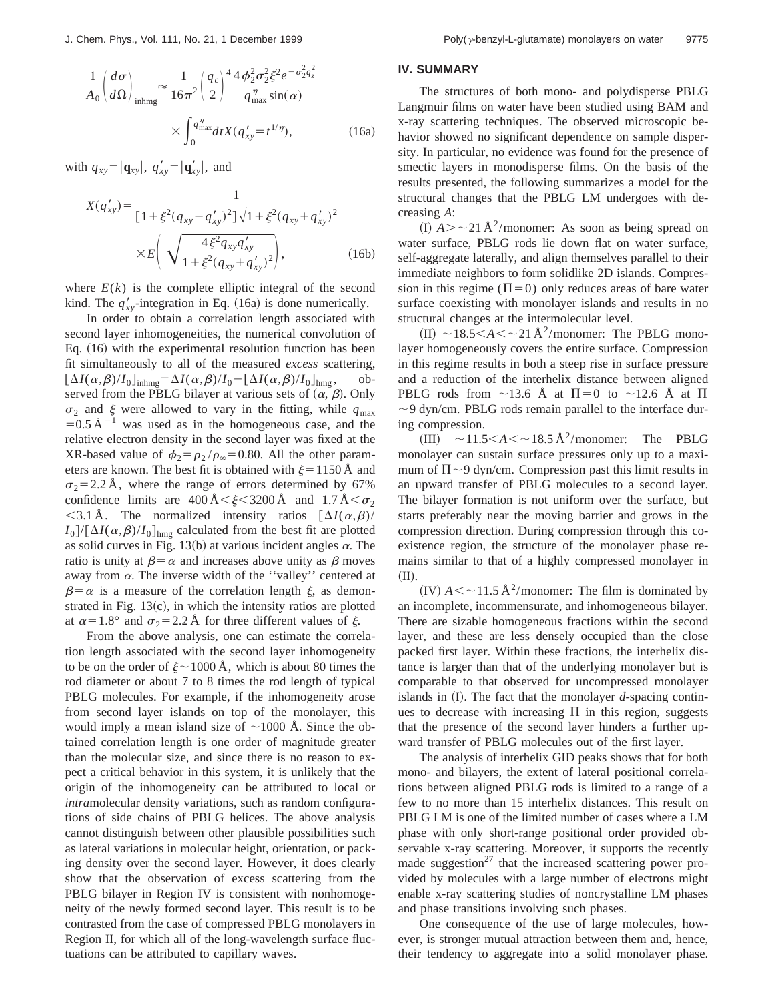$$
\frac{1}{A_0} \left( \frac{d\sigma}{d\Omega} \right)_{\text{inhmg}} \approx \frac{1}{16\pi^2} \left( \frac{q_c}{2} \right)^4 \frac{4\phi_2^2 \sigma_2^2 \xi^2 e^{-\sigma_2^2 q_z^2}}{q_{\text{max}}^{\eta} \sin(\alpha)}
$$

$$
\times \int_0^{q_{\text{max}}^{\eta}} dt X(q_{xy}^{\prime} = t^{1/\eta}), \tag{16a}
$$

with  $q_{xy} = |\mathbf{q}_{xy}|$ ,  $q'_{xy} = |\mathbf{q}'_{xy}|$ , and

$$
X(q'_{xy}) = \frac{1}{\left[1 + \xi^2 (q_{xy} - q'_{xy})^2\right] \sqrt{1 + \xi^2 (q_{xy} + q'_{xy})^2}} \times E\left(\sqrt{\frac{4\xi^2 q_{xy} q'_{xy}}{1 + \xi^2 (q_{xy} + q'_{xy})^2}}\right),
$$
(16b)

where  $E(k)$  is the complete elliptic integral of the second kind. The  $q'_{xy}$ -integration in Eq. (16a) is done numerically.

In order to obtain a correlation length associated with second layer inhomogeneities, the numerical convolution of Eq.  $(16)$  with the experimental resolution function has been fit simultaneously to all of the measured *excess* scattering,  $[\Delta I(\alpha, \beta)/I_0]_{\text{inhmg}} = \Delta I(\alpha, \beta)/I_0 - [\Delta I(\alpha, \beta)/I_0]_{\text{hmg}}$ , observed from the PBLG bilayer at various sets of  $(\alpha, \beta)$ . Only  $\sigma_2$  and  $\xi$  were allowed to vary in the fitting, while  $q_{\text{max}}$  $=0.5 \text{ Å}^{-1}$  was used as in the homogeneous case, and the relative electron density in the second layer was fixed at the XR-based value of  $\phi_2 = \rho_2 / \rho_\infty = 0.80$ . All the other parameters are known. The best fit is obtained with  $\xi=1150 \text{ Å}$  and  $\sigma_2$ =2.2 Å, where the range of errors determined by 67% confidence limits are  $400 \text{\AA} < \xi < 3200 \text{\AA}$  and  $1.7 \text{\AA} < \sigma_2$  $<$ 3.1 Å. The normalized intensity ratios  $[\Delta I(\alpha,\beta)/\Delta]$  $I_0$ ]/[ $\Delta I(\alpha,\beta)/I_0$ ]<sub>hmg</sub> calculated from the best fit are plotted as solid curves in Fig. 13(b) at various incident angles  $\alpha$ . The ratio is unity at  $\beta = \alpha$  and increases above unity as  $\beta$  moves away from  $\alpha$ . The inverse width of the "valley" centered at  $\beta = \alpha$  is a measure of the correlation length  $\xi$ , as demonstrated in Fig.  $13(c)$ , in which the intensity ratios are plotted at  $\alpha$ =1.8° and  $\sigma_2$ =2.2 Å for three different values of  $\xi$ .

From the above analysis, one can estimate the correlation length associated with the second layer inhomogeneity to be on the order of  $\xi \sim 1000 \text{ Å}$ , which is about 80 times the rod diameter or about 7 to 8 times the rod length of typical PBLG molecules. For example, if the inhomogeneity arose from second layer islands on top of the monolayer, this would imply a mean island size of  $\sim$ 1000 Å. Since the obtained correlation length is one order of magnitude greater than the molecular size, and since there is no reason to expect a critical behavior in this system, it is unlikely that the origin of the inhomogeneity can be attributed to local or *intra*molecular density variations, such as random configurations of side chains of PBLG helices. The above analysis cannot distinguish between other plausible possibilities such as lateral variations in molecular height, orientation, or packing density over the second layer. However, it does clearly show that the observation of excess scattering from the PBLG bilayer in Region IV is consistent with nonhomogeneity of the newly formed second layer. This result is to be contrasted from the case of compressed PBLG monolayers in Region II, for which all of the long-wavelength surface fluctuations can be attributed to capillary waves.

## **IV. SUMMARY**

The structures of both mono- and polydisperse PBLG Langmuir films on water have been studied using BAM and x-ray scattering techniques. The observed microscopic behavior showed no significant dependence on sample dispersity. In particular, no evidence was found for the presence of smectic layers in monodisperse films. On the basis of the results presented, the following summarizes a model for the structural changes that the PBLG LM undergoes with decreasing *A*:

(I)  $A > \sim 21 \text{ Å}^2/\text{monomer}$ : As soon as being spread on water surface, PBLG rods lie down flat on water surface, self-aggregate laterally, and align themselves parallel to their immediate neighbors to form solidlike 2D islands. Compression in this regime ( $\Pi=0$ ) only reduces areas of bare water surface coexisting with monolayer islands and results in no structural changes at the intermolecular level.

 $(H) \sim 18.5 < A < \sim 21 \text{ Å}^2/\text{monomer}$ : The PBLG monolayer homogeneously covers the entire surface. Compression in this regime results in both a steep rise in surface pressure and a reduction of the interhelix distance between aligned PBLG rods from  $\sim$ 13.6 Å at  $\Pi$ =0 to  $\sim$ 12.6 Å at  $\Pi$  $\sim$  9 dyn/cm. PBLG rods remain parallel to the interface during compression.

(III)  $\sim$  11.5  $<$  A  $<$   $\sim$  18.5 Å<sup>2</sup>/monomer: The PBLG monolayer can sustain surface pressures only up to a maximum of  $\Pi \sim 9$  dyn/cm. Compression past this limit results in an upward transfer of PBLG molecules to a second layer. The bilayer formation is not uniform over the surface, but starts preferably near the moving barrier and grows in the compression direction. During compression through this coexistence region, the structure of the monolayer phase remains similar to that of a highly compressed monolayer in  $(II).$ 

(IV)  $A \leq \sim 11.5 \text{ Å}^2/\text{monomer}$ : The film is dominated by an incomplete, incommensurate, and inhomogeneous bilayer. There are sizable homogeneous fractions within the second layer, and these are less densely occupied than the close packed first layer. Within these fractions, the interhelix distance is larger than that of the underlying monolayer but is comparable to that observed for uncompressed monolayer islands in  $(I)$ . The fact that the monolayer *d*-spacing continues to decrease with increasing  $\Pi$  in this region, suggests that the presence of the second layer hinders a further upward transfer of PBLG molecules out of the first layer.

The analysis of interhelix GID peaks shows that for both mono- and bilayers, the extent of lateral positional correlations between aligned PBLG rods is limited to a range of a few to no more than 15 interhelix distances. This result on PBLG LM is one of the limited number of cases where a LM phase with only short-range positional order provided observable x-ray scattering. Moreover, it supports the recently made suggestion<sup>27</sup> that the increased scattering power provided by molecules with a large number of electrons might enable x-ray scattering studies of noncrystalline LM phases and phase transitions involving such phases.

One consequence of the use of large molecules, however, is stronger mutual attraction between them and, hence, their tendency to aggregate into a solid monolayer phase.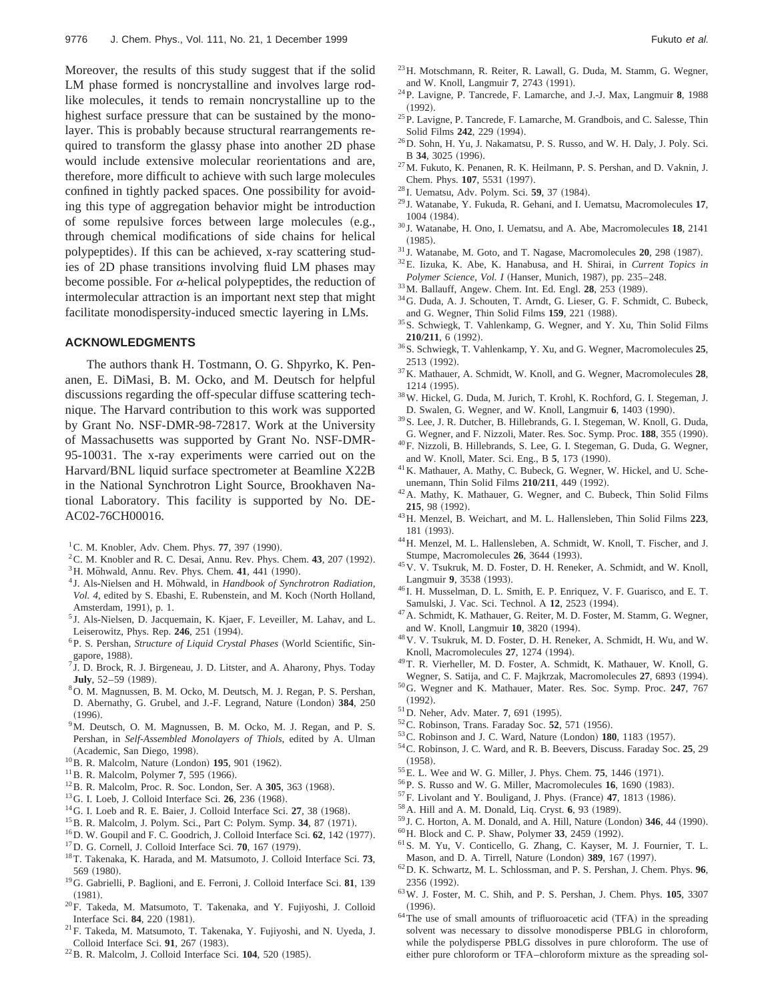Moreover, the results of this study suggest that if the solid LM phase formed is noncrystalline and involves large rodlike molecules, it tends to remain noncrystalline up to the highest surface pressure that can be sustained by the monolayer. This is probably because structural rearrangements required to transform the glassy phase into another 2D phase would include extensive molecular reorientations and are, therefore, more difficult to achieve with such large molecules confined in tightly packed spaces. One possibility for avoiding this type of aggregation behavior might be introduction of some repulsive forces between large molecules (e.g., through chemical modifications of side chains for helical polypeptides). If this can be achieved, x-ray scattering studies of 2D phase transitions involving fluid LM phases may become possible. For  $\alpha$ -helical polypeptides, the reduction of intermolecular attraction is an important next step that might facilitate monodispersity-induced smectic layering in LMs.

## **ACKNOWLEDGMENTS**

The authors thank H. Tostmann, O. G. Shpyrko, K. Penanen, E. DiMasi, B. M. Ocko, and M. Deutsch for helpful discussions regarding the off-specular diffuse scattering technique. The Harvard contribution to this work was supported by Grant No. NSF-DMR-98-72817. Work at the University of Massachusetts was supported by Grant No. NSF-DMR-95-10031. The x-ray experiments were carried out on the Harvard/BNL liquid surface spectrometer at Beamline X22B in the National Synchrotron Light Source, Brookhaven National Laboratory. This facility is supported by No. DE-AC02-76CH00016.

- ${}^{1}$ C. M. Knobler, Adv. Chem. Phys. **77**, 397 (1990).
- ${}^{2}$ C. M. Knobler and R. C. Desai, Annu. Rev. Phys. Chem. 43, 207 (1992).
- $3$ H. Möhwald, Annu. Rev. Phys. Chem. 41, 441 (1990).
- <sup>4</sup> J. Als-Nielsen and H. Möhwald, in *Handbook of Synchrotron Radiation*, Vol. 4, edited by S. Ebashi, E. Rubenstein, and M. Koch (North Holland, Amsterdam, 1991), p. 1.
- <sup>5</sup> J. Als-Nielsen, D. Jacquemain, K. Kjaer, F. Leveiller, M. Lahav, and L. Leiserowitz, Phys. Rep. 246, 251 (1994).
- <sup>6</sup>P. S. Pershan, *Structure of Liquid Crystal Phases* (World Scientific, Singapore, 1988).
- $7$  J. D. Brock, R. J. Birgeneau, J. D. Litster, and A. Aharony, Phys. Today **July**, 52-59 (1989).
- 8O. M. Magnussen, B. M. Ocko, M. Deutsch, M. J. Regan, P. S. Pershan, D. Abernathy, G. Grubel, and J.-F. Legrand, Nature (London) 384, 250  $(1996).$
- <sup>9</sup>M. Deutsch, O. M. Magnussen, B. M. Ocko, M. J. Regan, and P. S. Pershan, in *Self-Assembled Monolayers of Thiols*, edited by A. Ulman (Academic, San Diego, 1998).
- <sup>10</sup>B. R. Malcolm, Nature (London) **195**, 901 (1962).
- $11$ B. R. Malcolm, Polymer 7, 595 (1966).
- <sup>12</sup>B. R. Malcolm, Proc. R. Soc. London, Ser. A 305, 363 (1968).
- <sup>13</sup> G. I. Loeb, J. Colloid Interface Sci. **26**, 236 (1968).
- $14$ G. I. Loeb and R. E. Baier, J. Colloid Interface Sci.  $27$ , 38 (1968).
- <sup>15</sup> B. R. Malcolm, J. Polym. Sci., Part C: Polym. Symp. 34, 87 (1971).
- <sup>16</sup>D. W. Goupil and F. C. Goodrich, J. Colloid Interface Sci. 62, 142 (1977).
- <sup>17</sup>D. G. Cornell, J. Colloid Interface Sci. **70**, 167 (1979).
- 18T. Takenaka, K. Harada, and M. Matsumoto, J. Colloid Interface Sci. **73**, 569 (1980).
- 19G. Gabrielli, P. Baglioni, and E. Ferroni, J. Colloid Interface Sci. **81**, 139  $(1981).$
- 20F. Takeda, M. Matsumoto, T. Takenaka, and Y. Fujiyoshi, J. Colloid Interface Sci. 84, 220 (1981).
- 21F. Takeda, M. Matsumoto, T. Takenaka, Y. Fujiyoshi, and N. Uyeda, J. Colloid Interface Sci. 91, 267 (1983).
- $^{22}$ B. R. Malcolm, J. Colloid Interface Sci.  $104$ , 520 (1985).
- 23H. Motschmann, R. Reiter, R. Lawall, G. Duda, M. Stamm, G. Wegner, and W. Knoll, Langmuir 7, 2743 (1991).
- 24P. Lavigne, P. Tancrede, F. Lamarche, and J.-J. Max, Langmuir **8**, 1988  $(1992).$
- 25P. Lavigne, P. Tancrede, F. Lamarche, M. Grandbois, and C. Salesse, Thin Solid Films **242**, 229 (1994).
- 26D. Sohn, H. Yu, J. Nakamatsu, P. S. Russo, and W. H. Daly, J. Poly. Sci. B 34, 3025 (1996).
- 27M. Fukuto, K. Penanen, R. K. Heilmann, P. S. Pershan, and D. Vaknin, J. Chem. Phys. 107, 5531 (1997).
- <sup>28</sup> I. Uematsu, Adv. Polym. Sci. 59, 37 (1984).
- <sup>29</sup> J. Watanabe, Y. Fukuda, R. Gehani, and I. Uematsu, Macromolecules **17**, 1004 (1984).
- <sup>30</sup> J. Watanabe, H. Ono, I. Uematsu, and A. Abe, Macromolecules **18**, 2141  $(1985).$
- <sup>31</sup> J. Watanabe, M. Goto, and T. Nagase, Macromolecules **20**, 298 (1987).
- 32E. Iizuka, K. Abe, K. Hanabusa, and H. Shirai, in *Current Topics in Polymer Science, Vol. I* (Hanser, Munich, 1987), pp. 235–248.
- <sup>33</sup>M. Ballauff, Angew. Chem. Int. Ed. Engl. **28**, 253 (1989).
- 34G. Duda, A. J. Schouten, T. Arndt, G. Lieser, G. F. Schmidt, C. Bubeck, and G. Wegner, Thin Solid Films 159, 221 (1988).
- 35S. Schwiegk, T. Vahlenkamp, G. Wegner, and Y. Xu, Thin Solid Films **210/211**, 6 (1992).
- 36S. Schwiegk, T. Vahlenkamp, Y. Xu, and G. Wegner, Macromolecules **25**, 2513 (1992).
- 37K. Mathauer, A. Schmidt, W. Knoll, and G. Wegner, Macromolecules **28**, 1214 (1995).
- 38W. Hickel, G. Duda, M. Jurich, T. Krohl, K. Rochford, G. I. Stegeman, J. D. Swalen, G. Wegner, and W. Knoll, Langmuir 6, 1403 (1990).
- 39S. Lee, J. R. Dutcher, B. Hillebrands, G. I. Stegeman, W. Knoll, G. Duda, G. Wegner, and F. Nizzoli, Mater. Res. Soc. Symp. Proc. 188, 355 (1990).
- 40F. Nizzoli, B. Hillebrands, S. Lee, G. I. Stegeman, G. Duda, G. Wegner, and W. Knoll, Mater. Sci. Eng., B 5, 173 (1990).
- <sup>41</sup>K. Mathauer, A. Mathy, C. Bubeck, G. Wegner, W. Hickel, and U. Scheunemann, Thin Solid Films 210/211, 449 (1992).
- <sup>42</sup>A. Mathy, K. Mathauer, G. Wegner, and C. Bubeck, Thin Solid Films **215**, 98 (1992).
- 43H. Menzel, B. Weichart, and M. L. Hallensleben, Thin Solid Films **223**, 181 (1993).
- 44H. Menzel, M. L. Hallensleben, A. Schmidt, W. Knoll, T. Fischer, and J. Stumpe, Macromolecules **26**, 3644 (1993).
- 45V. V. Tsukruk, M. D. Foster, D. H. Reneker, A. Schmidt, and W. Knoll, Langmuir 9, 3538 (1993).
- <sup>46</sup> I. H. Musselman, D. L. Smith, E. P. Enriquez, V. F. Guarisco, and E. T. Samulski, J. Vac. Sci. Technol. A 12, 2523 (1994).
- 47A. Schmidt, K. Mathauer, G. Reiter, M. D. Foster, M. Stamm, G. Wegner, and W. Knoll, Langmuir 10, 3820 (1994).
- 48V. V. Tsukruk, M. D. Foster, D. H. Reneker, A. Schmidt, H. Wu, and W. Knoll, Macromolecules **27**, 1274 (1994).
- 49T. R. Vierheller, M. D. Foster, A. Schmidt, K. Mathauer, W. Knoll, G. Wegner, S. Satija, and C. F. Majkrzak, Macromolecules 27, 6893 (1994).
- 50G. Wegner and K. Mathauer, Mater. Res. Soc. Symp. Proc. **247**, 767  $(1992).$
- <sup>51</sup> D. Neher, Adv. Mater. **7**, 691 (1995).
- <sup>52</sup>C. Robinson, Trans. Faraday Soc. **52**, 571 (1956).
- <sup>53</sup> C. Robinson and J. C. Ward, Nature (London) **180**, 1183 (1957).
- 54C. Robinson, J. C. Ward, and R. B. Beevers, Discuss. Faraday Soc. **25**, 29  $(1958).$
- <sup>55</sup>E. L. Wee and W. G. Miller, J. Phys. Chem. **75**, 1446 (1971).
- <sup>56</sup>P. S. Russo and W. G. Miller, Macromolecules 16, 1690 (1983).
- $57$ F. Livolant and Y. Bouligand, J. Phys. (France)  $47$ , 1813 (1986).
- <sup>58</sup> A. Hill and A. M. Donald, Liq. Cryst. **6**, 93 (1989).
- <sup>59</sup> J. C. Horton, A. M. Donald, and A. Hill, Nature (London) 346, 44 (1990).
- <sup>60</sup> H. Block and C. P. Shaw, Polymer 33, 2459 (1992).
- 61S. M. Yu, V. Conticello, G. Zhang, C. Kayser, M. J. Fournier, T. L. Mason, and D. A. Tirrell, Nature (London) 389, 167 (1997).
- 62D. K. Schwartz, M. L. Schlossman, and P. S. Pershan, J. Chem. Phys. **96**, 2356 (1992).
- 63W. J. Foster, M. C. Shih, and P. S. Pershan, J. Chem. Phys. **105**, 3307  $(1996).$
- $64$ The use of small amounts of trifluoroacetic acid (TFA) in the spreading solvent was necessary to dissolve monodisperse PBLG in chloroform, while the polydisperse PBLG dissolves in pure chloroform. The use of either pure chloroform or TFA–chloroform mixture as the spreading sol-